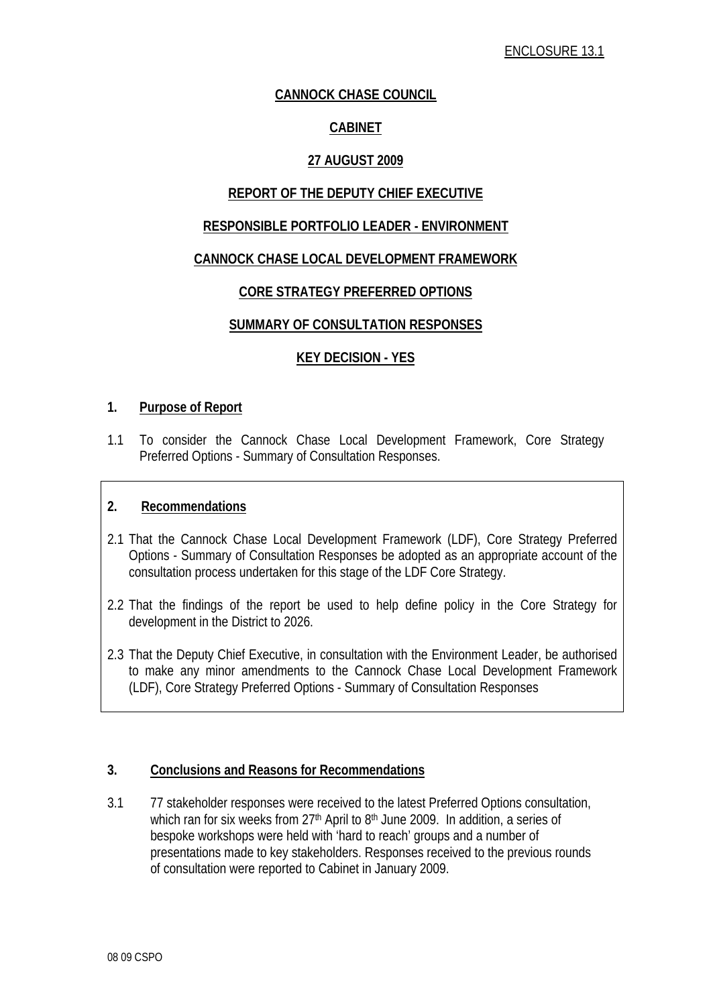## **CANNOCK CHASE COUNCIL**

## **CABINET**

## **27 AUGUST 2009**

## **REPORT OF THE DEPUTY CHIEF EXECUTIVE**

#### **RESPONSIBLE PORTFOLIO LEADER - ENVIRONMENT**

#### **CANNOCK CHASE LOCAL DEVELOPMENT FRAMEWORK**

#### **CORE STRATEGY PREFERRED OPTIONS**

#### **SUMMARY OF CONSULTATION RESPONSES**

#### **KEY DECISION - YES**

#### **1. Purpose of Report**

1.1 To consider the Cannock Chase Local Development Framework, Core Strategy Preferred Options - Summary of Consultation Responses.

#### **2. Recommendations**

- 2.1 That the Cannock Chase Local Development Framework (LDF), Core Strategy Preferred Options - Summary of Consultation Responses be adopted as an appropriate account of the consultation process undertaken for this stage of the LDF Core Strategy.
- 2.2 That the findings of the report be used to help define policy in the Core Strategy for development in the District to 2026.
- 2.3 That the Deputy Chief Executive, in consultation with the Environment Leader, be authorised to make any minor amendments to the Cannock Chase Local Development Framework (LDF), Core Strategy Preferred Options - Summary of Consultation Responses

#### **3. Conclusions and Reasons for Recommendations**

3.1 77 stakeholder responses were received to the latest Preferred Options consultation, which ran for six weeks from 27<sup>th</sup> April to 8<sup>th</sup> June 2009. In addition, a series of bespoke workshops were held with 'hard to reach' groups and a number of presentations made to key stakeholders. Responses received to the previous rounds of consultation were reported to Cabinet in January 2009.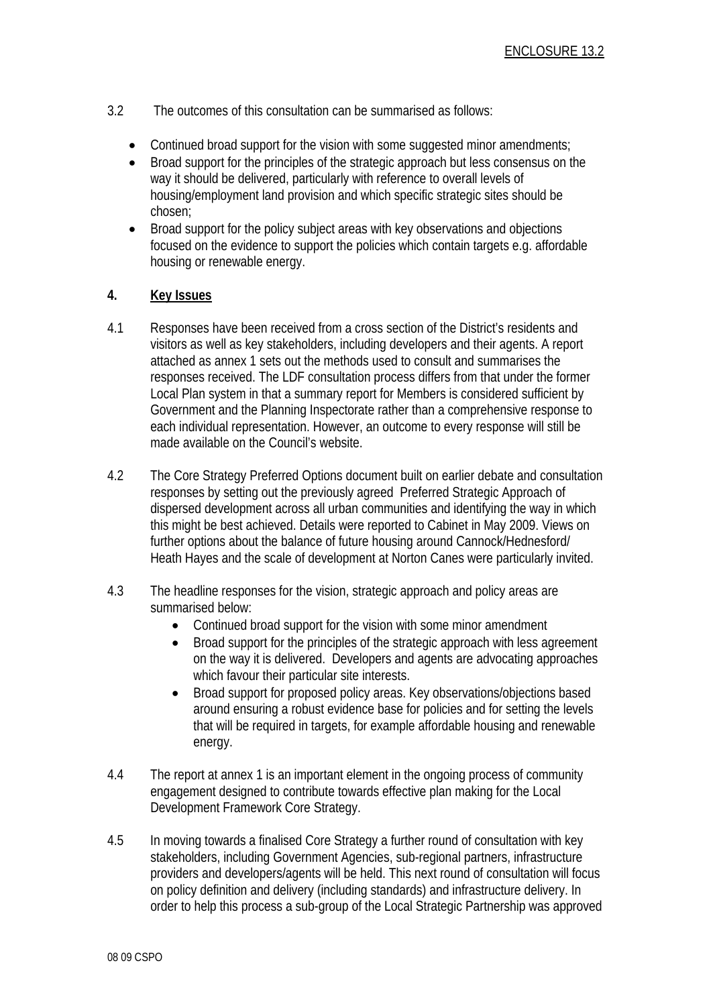- 3.2 The outcomes of this consultation can be summarised as follows:
	- Continued broad support for the vision with some suggested minor amendments;
	- Broad support for the principles of the strategic approach but less consensus on the way it should be delivered, particularly with reference to overall levels of housing/employment land provision and which specific strategic sites should be chosen;
	- Broad support for the policy subject areas with key observations and objections focused on the evidence to support the policies which contain targets e.g. affordable housing or renewable energy.

#### **4. Key Issues**

- 4.1 Responses have been received from a cross section of the District's residents and visitors as well as key stakeholders, including developers and their agents. A report attached as annex 1 sets out the methods used to consult and summarises the responses received. The LDF consultation process differs from that under the former Local Plan system in that a summary report for Members is considered sufficient by Government and the Planning Inspectorate rather than a comprehensive response to each individual representation. However, an outcome to every response will still be made available on the Council's website.
- 4.2 The Core Strategy Preferred Options document built on earlier debate and consultation responses by setting out the previously agreed Preferred Strategic Approach of dispersed development across all urban communities and identifying the way in which this might be best achieved. Details were reported to Cabinet in May 2009. Views on further options about the balance of future housing around Cannock/Hednesford/ Heath Hayes and the scale of development at Norton Canes were particularly invited.
- 4.3 The headline responses for the vision, strategic approach and policy areas are summarised below:
	- Continued broad support for the vision with some minor amendment
	- Broad support for the principles of the strategic approach with less agreement on the way it is delivered. Developers and agents are advocating approaches which favour their particular site interests.
	- Broad support for proposed policy areas. Key observations/objections based around ensuring a robust evidence base for policies and for setting the levels that will be required in targets, for example affordable housing and renewable energy.
- 4.4 The report at annex 1 is an important element in the ongoing process of community engagement designed to contribute towards effective plan making for the Local Development Framework Core Strategy.
- 4.5 In moving towards a finalised Core Strategy a further round of consultation with key stakeholders, including Government Agencies, sub-regional partners, infrastructure providers and developers/agents will be held. This next round of consultation will focus on policy definition and delivery (including standards) and infrastructure delivery. In order to help this process a sub-group of the Local Strategic Partnership was approved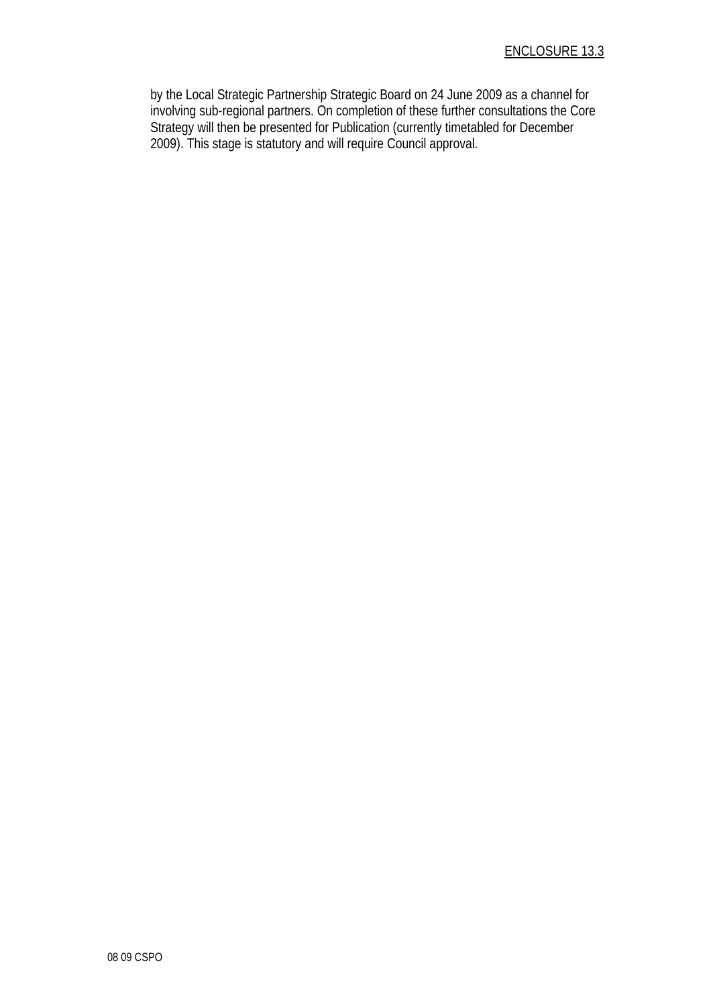by the Local Strategic Partnership Strategic Board on 24 June 2009 as a channel for involving sub-regional partners. On completion of these further consultations the Core Strategy will then be presented for Publication (currently timetabled for December 2009). This stage is statutory and will require Council approval.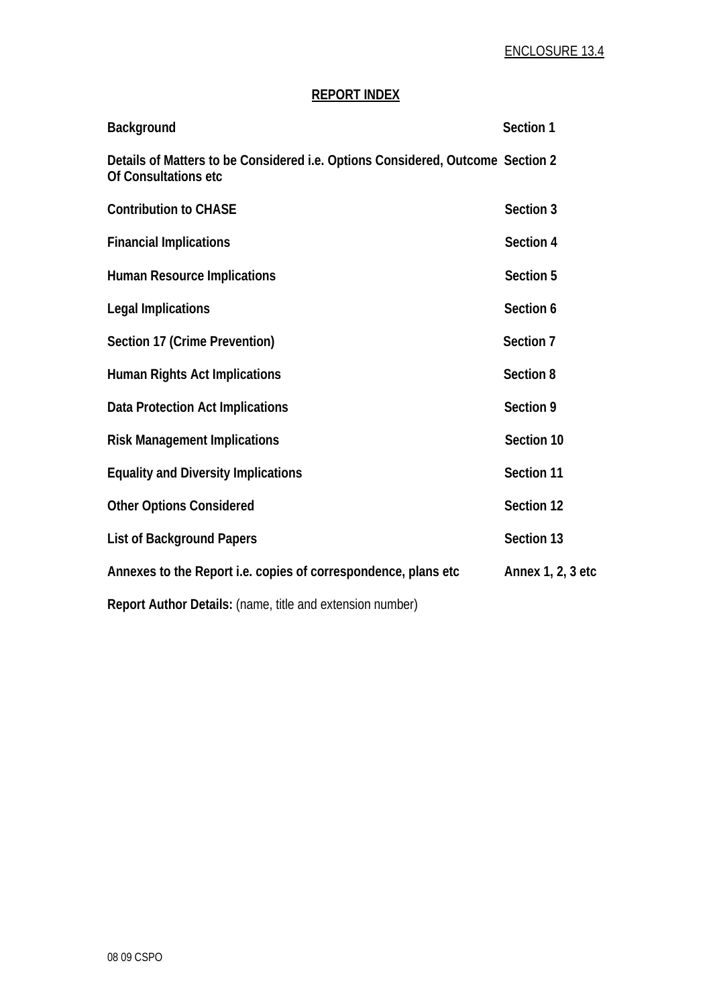## **REPORT INDEX**

| Background                                                                                             | Section 1         |
|--------------------------------------------------------------------------------------------------------|-------------------|
| Details of Matters to be Considered i.e. Options Considered, Outcome Section 2<br>Of Consultations etc |                   |
| <b>Contribution to CHASE</b>                                                                           | Section 3         |
| <b>Financial Implications</b>                                                                          | Section 4         |
| <b>Human Resource Implications</b>                                                                     | Section 5         |
| <b>Legal Implications</b>                                                                              | Section 6         |
| Section 17 (Crime Prevention)                                                                          | Section 7         |
| <b>Human Rights Act Implications</b>                                                                   | Section 8         |
| <b>Data Protection Act Implications</b>                                                                | Section 9         |
| <b>Risk Management Implications</b>                                                                    | Section 10        |
| <b>Equality and Diversity Implications</b>                                                             | Section 11        |
| <b>Other Options Considered</b>                                                                        | Section 12        |
| <b>List of Background Papers</b>                                                                       | Section 13        |
| Annexes to the Report i.e. copies of correspondence, plans etc                                         | Annex 1, 2, 3 etc |
| Report Author Details: (name, title and extension number)                                              |                   |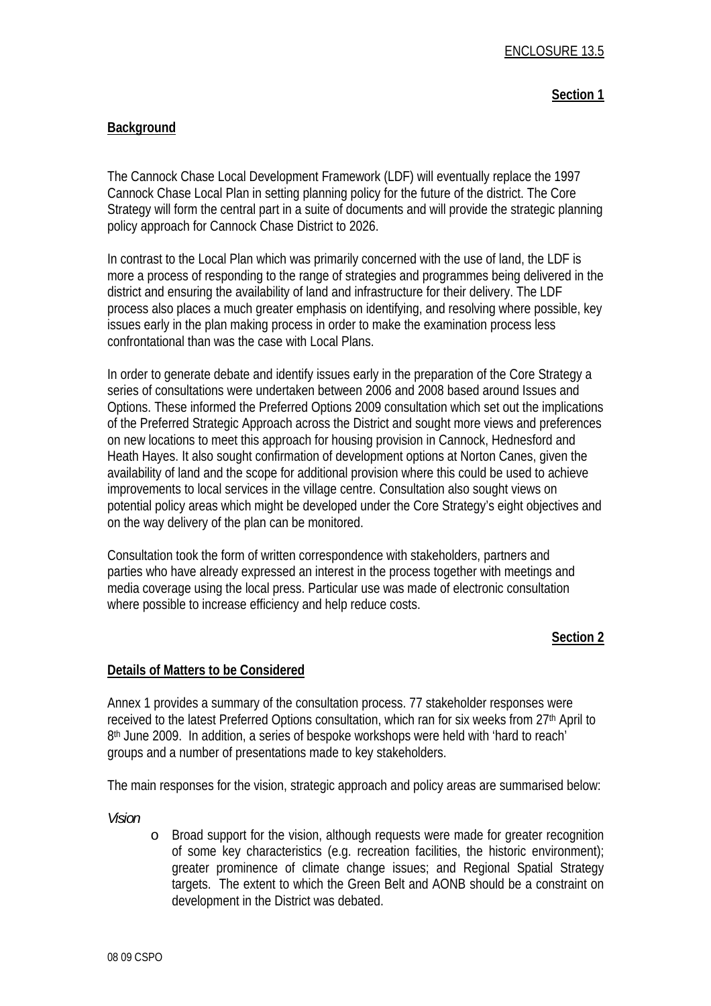#### **Section 1**

#### **Background**

The Cannock Chase Local Development Framework (LDF) will eventually replace the 1997 Cannock Chase Local Plan in setting planning policy for the future of the district. The Core Strategy will form the central part in a suite of documents and will provide the strategic planning policy approach for Cannock Chase District to 2026.

In contrast to the Local Plan which was primarily concerned with the use of land, the LDF is more a process of responding to the range of strategies and programmes being delivered in the district and ensuring the availability of land and infrastructure for their delivery. The LDF process also places a much greater emphasis on identifying, and resolving where possible, key issues early in the plan making process in order to make the examination process less confrontational than was the case with Local Plans.

In order to generate debate and identify issues early in the preparation of the Core Strategy a series of consultations were undertaken between 2006 and 2008 based around Issues and Options. These informed the Preferred Options 2009 consultation which set out the implications of the Preferred Strategic Approach across the District and sought more views and preferences on new locations to meet this approach for housing provision in Cannock, Hednesford and Heath Hayes. It also sought confirmation of development options at Norton Canes, given the availability of land and the scope for additional provision where this could be used to achieve improvements to local services in the village centre. Consultation also sought views on potential policy areas which might be developed under the Core Strategy's eight objectives and on the way delivery of the plan can be monitored.

Consultation took the form of written correspondence with stakeholders, partners and parties who have already expressed an interest in the process together with meetings and media coverage using the local press. Particular use was made of electronic consultation where possible to increase efficiency and help reduce costs.

#### **Section 2**

#### **Details of Matters to be Considered**

Annex 1 provides a summary of the consultation process. 77 stakeholder responses were received to the latest Preferred Options consultation, which ran for six weeks from 27<sup>th</sup> April to 8th June 2009. In addition, a series of bespoke workshops were held with 'hard to reach' groups and a number of presentations made to key stakeholders.

The main responses for the vision, strategic approach and policy areas are summarised below:

*Vision* 

o Broad support for the vision, although requests were made for greater recognition of some key characteristics (e.g. recreation facilities, the historic environment); greater prominence of climate change issues; and Regional Spatial Strategy targets. The extent to which the Green Belt and AONB should be a constraint on development in the District was debated.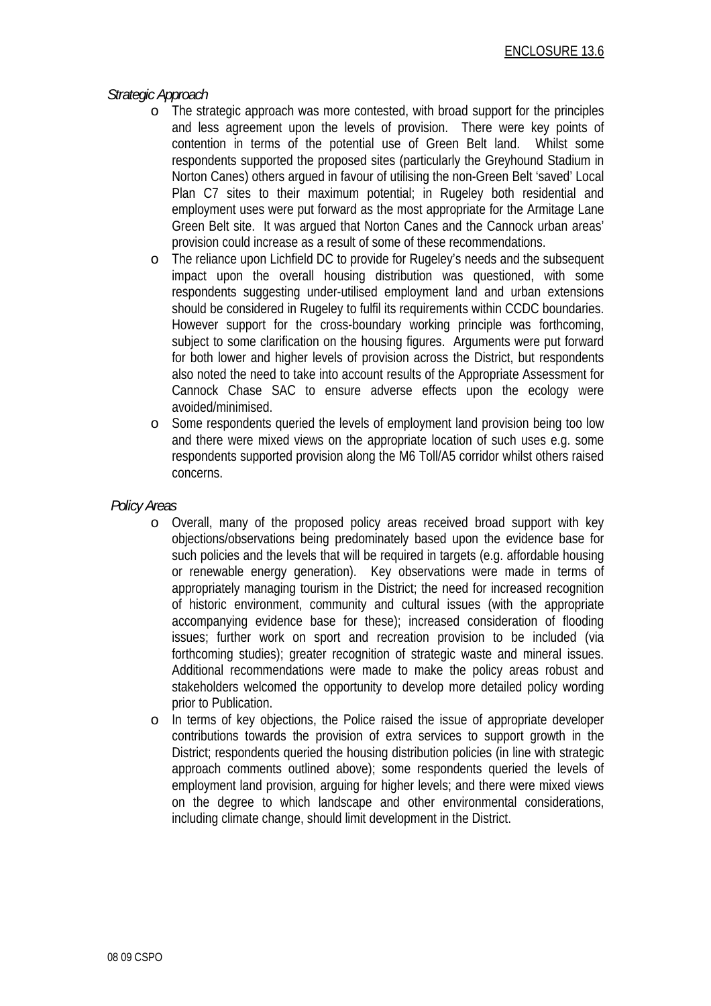#### *Strategic Approach*

- o The strategic approach was more contested, with broad support for the principles and less agreement upon the levels of provision. There were key points of contention in terms of the potential use of Green Belt land. Whilst some respondents supported the proposed sites (particularly the Greyhound Stadium in Norton Canes) others argued in favour of utilising the non-Green Belt 'saved' Local Plan C7 sites to their maximum potential; in Rugeley both residential and employment uses were put forward as the most appropriate for the Armitage Lane Green Belt site. It was argued that Norton Canes and the Cannock urban areas' provision could increase as a result of some of these recommendations.
- o The reliance upon Lichfield DC to provide for Rugeley's needs and the subsequent impact upon the overall housing distribution was questioned, with some respondents suggesting under-utilised employment land and urban extensions should be considered in Rugeley to fulfil its requirements within CCDC boundaries. However support for the cross-boundary working principle was forthcoming, subiect to some clarification on the housing figures. Arguments were put forward for both lower and higher levels of provision across the District, but respondents also noted the need to take into account results of the Appropriate Assessment for Cannock Chase SAC to ensure adverse effects upon the ecology were avoided/minimised.
- o Some respondents queried the levels of employment land provision being too low and there were mixed views on the appropriate location of such uses e.g. some respondents supported provision along the M6 Toll/A5 corridor whilst others raised concerns.

#### *Policy Areas*

- o Overall, many of the proposed policy areas received broad support with key objections/observations being predominately based upon the evidence base for such policies and the levels that will be required in targets (e.g. affordable housing or renewable energy generation). Key observations were made in terms of appropriately managing tourism in the District; the need for increased recognition of historic environment, community and cultural issues (with the appropriate accompanying evidence base for these); increased consideration of flooding issues; further work on sport and recreation provision to be included (via forthcoming studies); greater recognition of strategic waste and mineral issues. Additional recommendations were made to make the policy areas robust and stakeholders welcomed the opportunity to develop more detailed policy wording prior to Publication.
- o In terms of key objections, the Police raised the issue of appropriate developer contributions towards the provision of extra services to support growth in the District; respondents queried the housing distribution policies (in line with strategic approach comments outlined above); some respondents queried the levels of employment land provision, arguing for higher levels; and there were mixed views on the degree to which landscape and other environmental considerations, including climate change, should limit development in the District.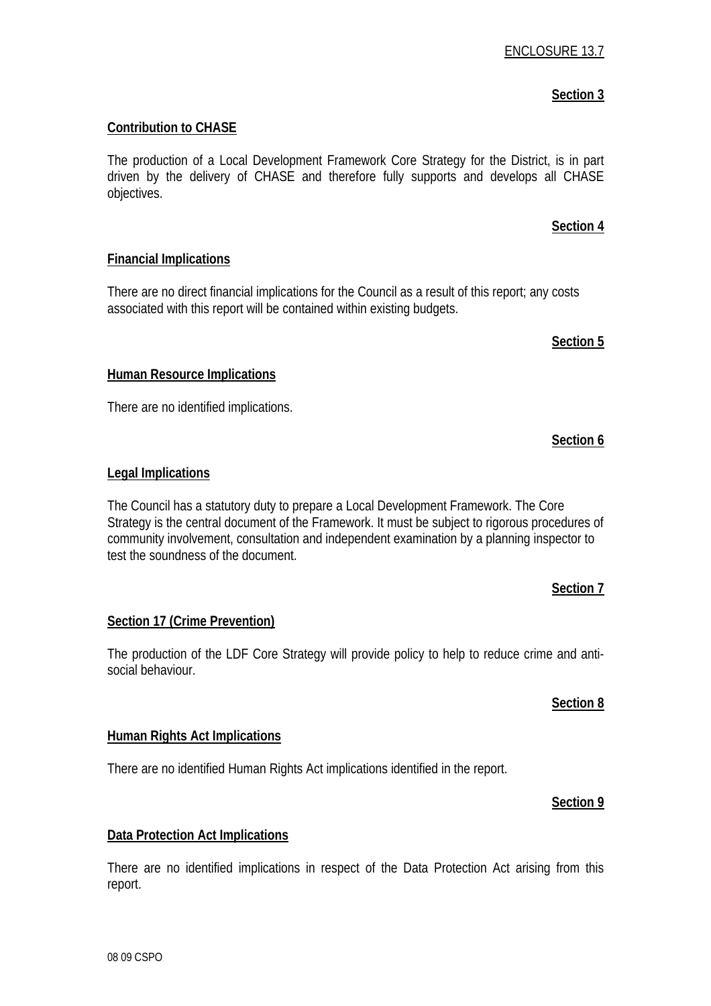## ENCLOSURE 13.7

## **Section 3**

**Section 4**

#### **Contribution to CHASE**

The production of a Local Development Framework Core Strategy for the District, is in part driven by the delivery of CHASE and therefore fully supports and develops all CHASE objectives.

#### **Financial Implications**

There are no direct financial implications for the Council as a result of this report; any costs associated with this report will be contained within existing budgets.

#### **Human Resource Implications**

There are no identified implications.

#### **Legal Implications**

The Council has a statutory duty to prepare a Local Development Framework. The Core Strategy is the central document of the Framework. It must be subject to rigorous procedures of community involvement, consultation and independent examination by a planning inspector to test the soundness of the document.

#### **Section 7**

## **Section 17 (Crime Prevention)**

The production of the LDF Core Strategy will provide policy to help to reduce crime and antisocial behaviour.

#### **Section 8**

#### **Human Rights Act Implications**

There are no identified Human Rights Act implications identified in the report.

#### **Section 9**

## **Data Protection Act Implications**

There are no identified implications in respect of the Data Protection Act arising from this report.

# **Section 5**

## **Section 6**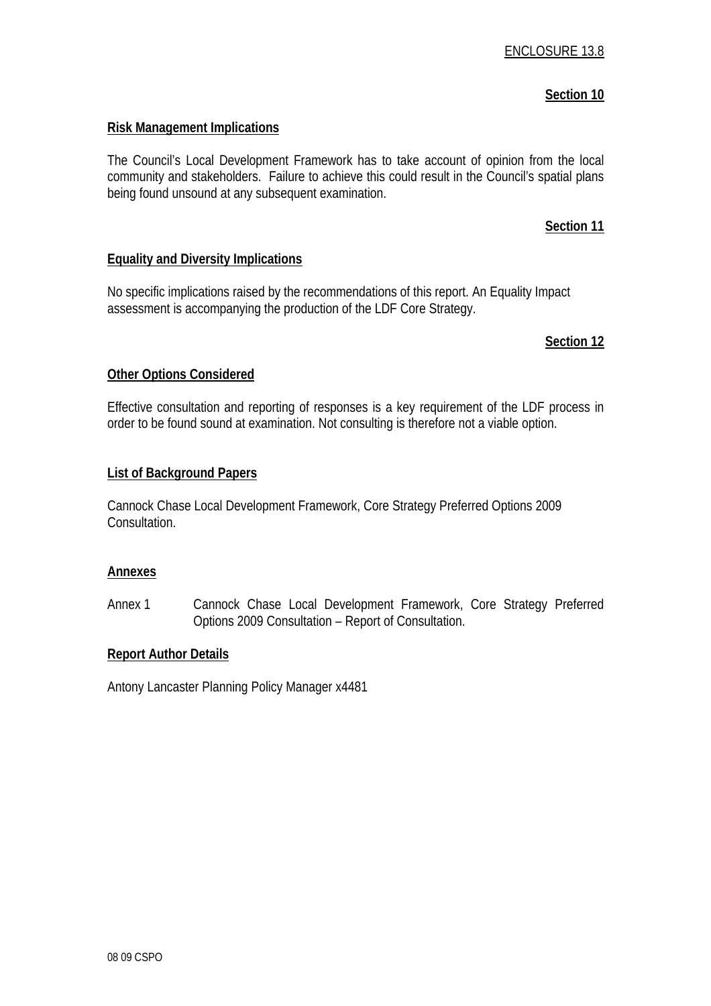#### **Section 10**

#### **Risk Management Implications**

The Council's Local Development Framework has to take account of opinion from the local community and stakeholders. Failure to achieve this could result in the Council's spatial plans being found unsound at any subsequent examination.

#### **Section 11**

#### **Equality and Diversity Implications**

No specific implications raised by the recommendations of this report. An Equality Impact assessment is accompanying the production of the LDF Core Strategy.

#### **Section 12**

#### **Other Options Considered**

Effective consultation and reporting of responses is a key requirement of the LDF process in order to be found sound at examination. Not consulting is therefore not a viable option.

#### **List of Background Papers**

Cannock Chase Local Development Framework, Core Strategy Preferred Options 2009 Consultation.

#### **Annexes**

Annex 1 Cannock Chase Local Development Framework, Core Strategy Preferred Options 2009 Consultation – Report of Consultation.

#### **Report Author Details**

Antony Lancaster Planning Policy Manager x4481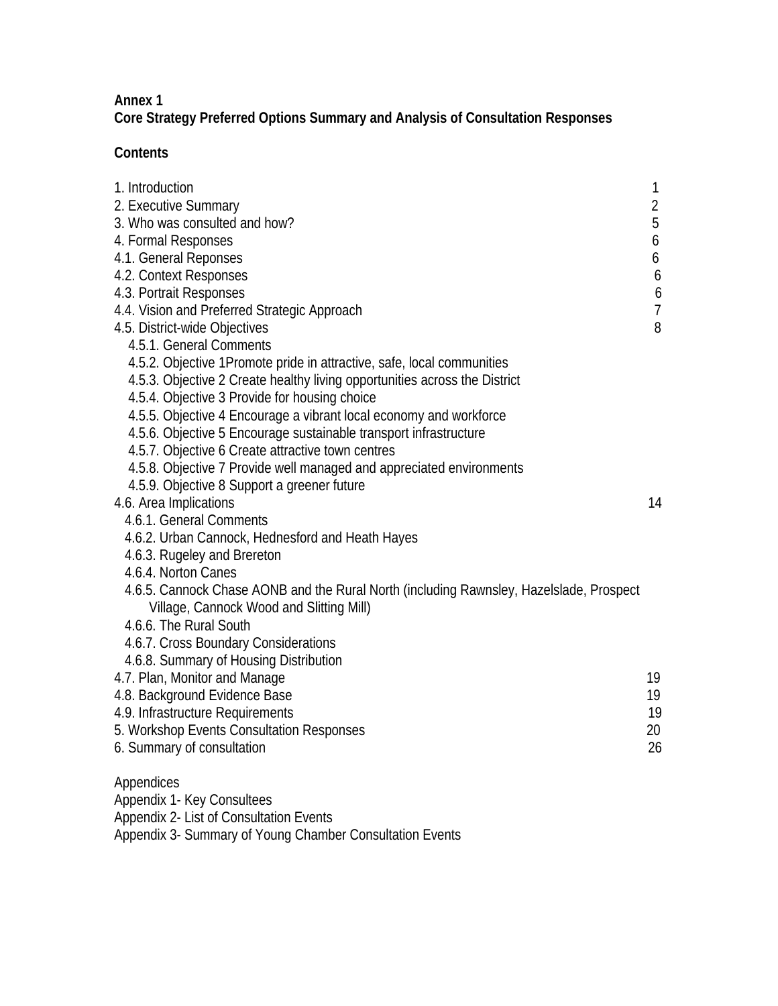## **Annex 1**

**Core Strategy Preferred Options Summary and Analysis of Consultation Responses** 

## **Contents**

| 1. Introduction                                                                         | 1              |
|-----------------------------------------------------------------------------------------|----------------|
| 2. Executive Summary                                                                    | $\overline{2}$ |
| 3. Who was consulted and how?                                                           | 5              |
| 4. Formal Responses                                                                     | 6              |
| 4.1. General Reponses                                                                   | 6              |
| 4.2. Context Responses                                                                  | 6              |
| 4.3. Portrait Responses                                                                 | 6              |
| 4.4. Vision and Preferred Strategic Approach                                            | $\overline{7}$ |
| 4.5. District-wide Objectives                                                           | 8              |
| 4.5.1. General Comments                                                                 |                |
| 4.5.2. Objective 1Promote pride in attractive, safe, local communities                  |                |
| 4.5.3. Objective 2 Create healthy living opportunities across the District              |                |
| 4.5.4. Objective 3 Provide for housing choice                                           |                |
| 4.5.5. Objective 4 Encourage a vibrant local economy and workforce                      |                |
| 4.5.6. Objective 5 Encourage sustainable transport infrastructure                       |                |
| 4.5.7. Objective 6 Create attractive town centres                                       |                |
| 4.5.8. Objective 7 Provide well managed and appreciated environments                    |                |
| 4.5.9. Objective 8 Support a greener future                                             |                |
| 4.6. Area Implications                                                                  | 14             |
| 4.6.1. General Comments                                                                 |                |
| 4.6.2. Urban Cannock, Hednesford and Heath Hayes                                        |                |
| 4.6.3. Rugeley and Brereton                                                             |                |
| 4.6.4. Norton Canes                                                                     |                |
| 4.6.5. Cannock Chase AONB and the Rural North (including Rawnsley, Hazelslade, Prospect |                |
| Village, Cannock Wood and Slitting Mill)                                                |                |
| 4.6.6. The Rural South                                                                  |                |
| 4.6.7. Cross Boundary Considerations                                                    |                |
| 4.6.8. Summary of Housing Distribution                                                  |                |
| 4.7. Plan, Monitor and Manage                                                           | 19             |
| 4.8. Background Evidence Base                                                           | 19             |
| 4.9. Infrastructure Requirements                                                        | 19             |
| 5. Workshop Events Consultation Responses                                               | 20             |
| 6. Summary of consultation                                                              | 26             |
| Appendices                                                                              |                |
| Appendix 1- Key Consultees                                                              |                |
| Annopoliu 2 Liet of Conquitation Eugenie                                                |                |

Appendix 2- List of Consultation Events Appendix 3- Summary of Young Chamber Consultation Events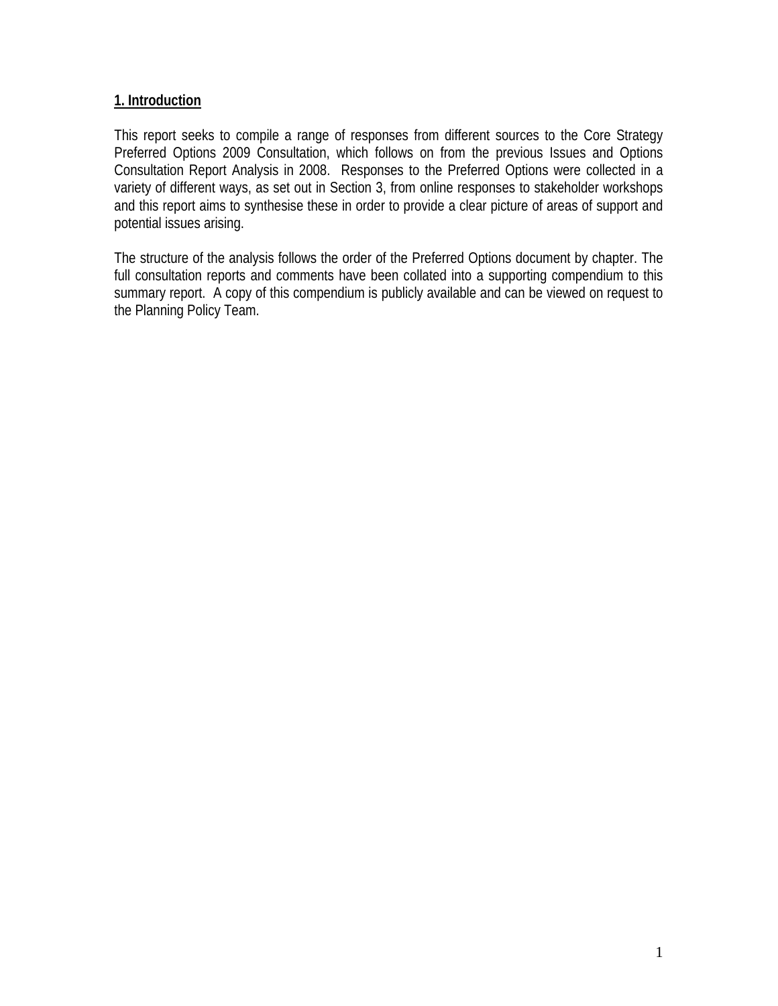#### **1. Introduction**

This report seeks to compile a range of responses from different sources to the Core Strategy Preferred Options 2009 Consultation, which follows on from the previous Issues and Options Consultation Report Analysis in 2008. Responses to the Preferred Options were collected in a variety of different ways, as set out in Section 3, from online responses to stakeholder workshops and this report aims to synthesise these in order to provide a clear picture of areas of support and potential issues arising.

The structure of the analysis follows the order of the Preferred Options document by chapter. The full consultation reports and comments have been collated into a supporting compendium to this summary report. A copy of this compendium is publicly available and can be viewed on request to the Planning Policy Team.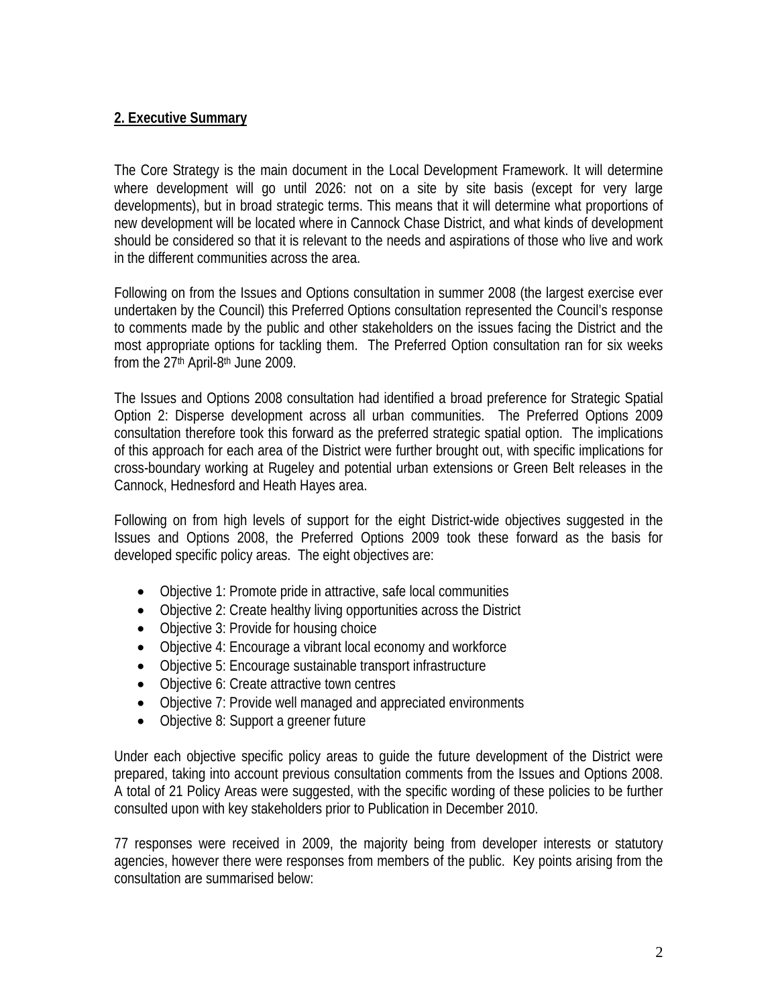## **2. Executive Summary**

The Core Strategy is the main document in the Local Development Framework. It will determine where development will go until 2026: not on a site by site basis (except for very large developments), but in broad strategic terms. This means that it will determine what proportions of new development will be located where in Cannock Chase District, and what kinds of development should be considered so that it is relevant to the needs and aspirations of those who live and work in the different communities across the area.

Following on from the Issues and Options consultation in summer 2008 (the largest exercise ever undertaken by the Council) this Preferred Options consultation represented the Council's response to comments made by the public and other stakeholders on the issues facing the District and the most appropriate options for tackling them. The Preferred Option consultation ran for six weeks from the 27th April-8th June 2009.

The Issues and Options 2008 consultation had identified a broad preference for Strategic Spatial Option 2: Disperse development across all urban communities. The Preferred Options 2009 consultation therefore took this forward as the preferred strategic spatial option. The implications of this approach for each area of the District were further brought out, with specific implications for cross-boundary working at Rugeley and potential urban extensions or Green Belt releases in the Cannock, Hednesford and Heath Hayes area.

Following on from high levels of support for the eight District-wide objectives suggested in the Issues and Options 2008, the Preferred Options 2009 took these forward as the basis for developed specific policy areas. The eight objectives are:

- Objective 1: Promote pride in attractive, safe local communities
- Objective 2: Create healthy living opportunities across the District
- Objective 3: Provide for housing choice
- Objective 4: Encourage a vibrant local economy and workforce
- Objective 5: Encourage sustainable transport infrastructure
- Objective 6: Create attractive town centres
- Objective 7: Provide well managed and appreciated environments
- Objective 8: Support a greener future

Under each objective specific policy areas to guide the future development of the District were prepared, taking into account previous consultation comments from the Issues and Options 2008. A total of 21 Policy Areas were suggested, with the specific wording of these policies to be further consulted upon with key stakeholders prior to Publication in December 2010.

77 responses were received in 2009, the majority being from developer interests or statutory agencies, however there were responses from members of the public. Key points arising from the consultation are summarised below: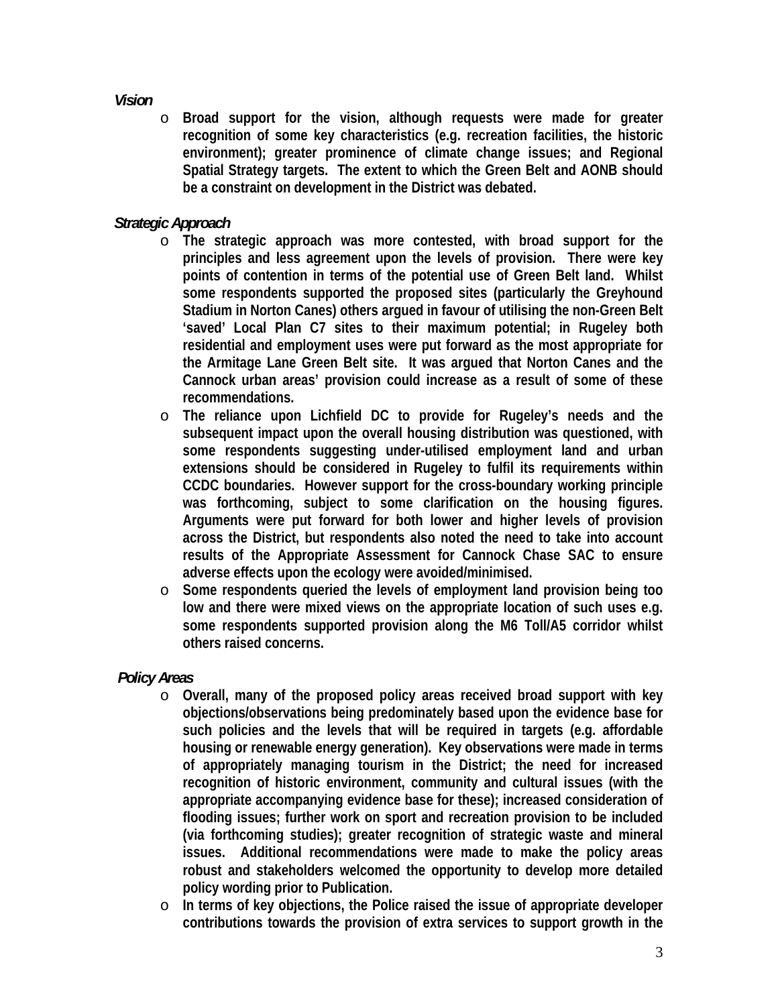#### *Vision*

o **Broad support for the vision, although requests were made for greater recognition of some key characteristics (e.g. recreation facilities, the historic environment); greater prominence of climate change issues; and Regional Spatial Strategy targets. The extent to which the Green Belt and AONB should be a constraint on development in the District was debated.** 

## *Strategic Approach*

- o **The strategic approach was more contested, with broad support for the principles and less agreement upon the levels of provision. There were key points of contention in terms of the potential use of Green Belt land. Whilst some respondents supported the proposed sites (particularly the Greyhound Stadium in Norton Canes) others argued in favour of utilising the non-Green Belt 'saved' Local Plan C7 sites to their maximum potential; in Rugeley both residential and employment uses were put forward as the most appropriate for the Armitage Lane Green Belt site. It was argued that Norton Canes and the Cannock urban areas' provision could increase as a result of some of these recommendations.**
- o **The reliance upon Lichfield DC to provide for Rugeley's needs and the subsequent impact upon the overall housing distribution was questioned, with some respondents suggesting under-utilised employment land and urban extensions should be considered in Rugeley to fulfil its requirements within CCDC boundaries. However support for the cross-boundary working principle was forthcoming, subject to some clarification on the housing figures. Arguments were put forward for both lower and higher levels of provision across the District, but respondents also noted the need to take into account results of the Appropriate Assessment for Cannock Chase SAC to ensure adverse effects upon the ecology were avoided/minimised.**
- o **Some respondents queried the levels of employment land provision being too low and there were mixed views on the appropriate location of such uses e.g. some respondents supported provision along the M6 Toll/A5 corridor whilst others raised concerns.**

#### *Policy Areas*

- o **Overall, many of the proposed policy areas received broad support with key objections/observations being predominately based upon the evidence base for such policies and the levels that will be required in targets (e.g. affordable housing or renewable energy generation). Key observations were made in terms of appropriately managing tourism in the District; the need for increased recognition of historic environment, community and cultural issues (with the appropriate accompanying evidence base for these); increased consideration of flooding issues; further work on sport and recreation provision to be included (via forthcoming studies); greater recognition of strategic waste and mineral issues. Additional recommendations were made to make the policy areas robust and stakeholders welcomed the opportunity to develop more detailed policy wording prior to Publication.**
- o **In terms of key objections, the Police raised the issue of appropriate developer contributions towards the provision of extra services to support growth in the**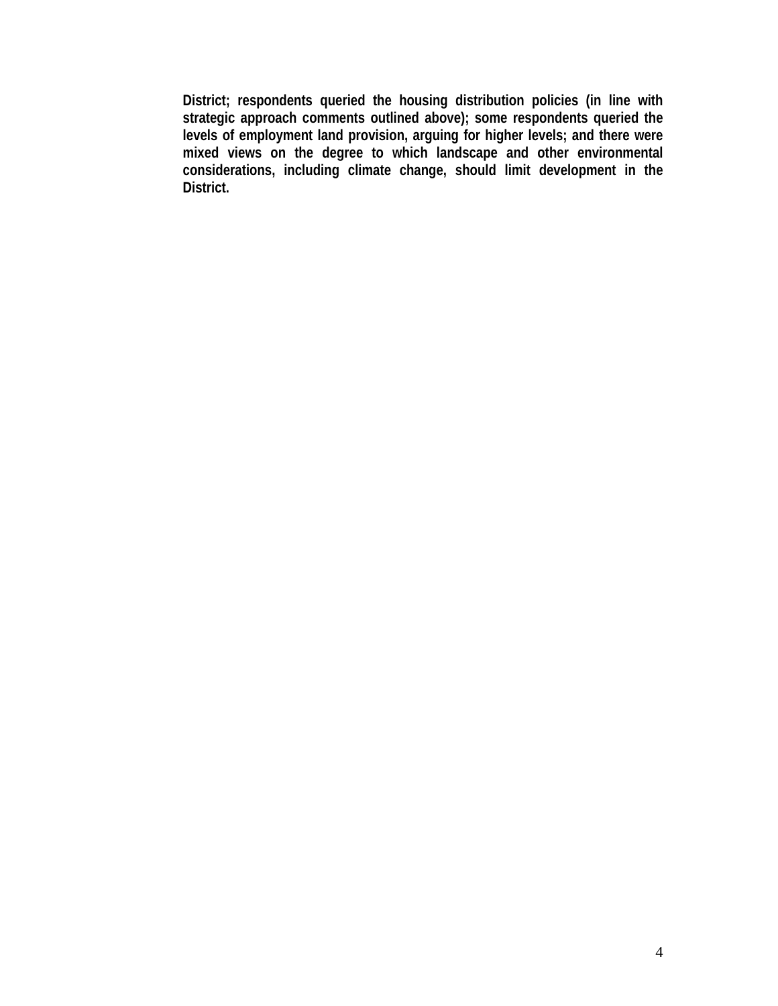**District; respondents queried the housing distribution policies (in line with strategic approach comments outlined above); some respondents queried the levels of employment land provision, arguing for higher levels; and there were mixed views on the degree to which landscape and other environmental considerations, including climate change, should limit development in the District.**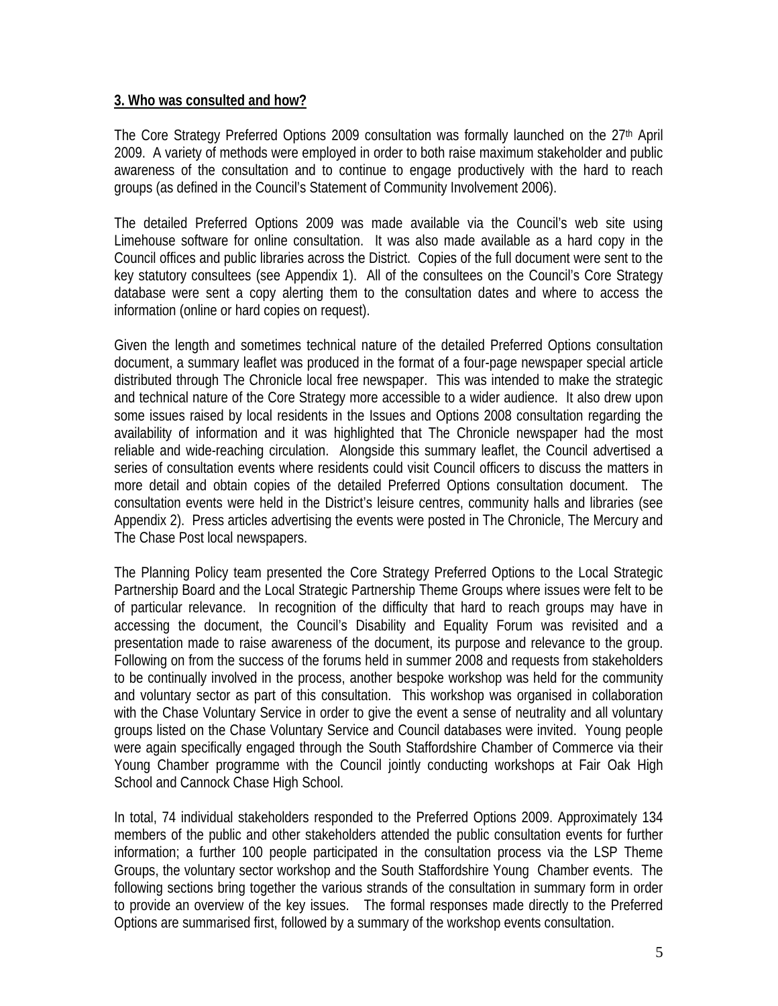#### **3. Who was consulted and how?**

The Core Strategy Preferred Options 2009 consultation was formally launched on the 27<sup>th</sup> April 2009. A variety of methods were employed in order to both raise maximum stakeholder and public awareness of the consultation and to continue to engage productively with the hard to reach groups (as defined in the Council's Statement of Community Involvement 2006).

The detailed Preferred Options 2009 was made available via the Council's web site using Limehouse software for online consultation. It was also made available as a hard copy in the Council offices and public libraries across the District. Copies of the full document were sent to the key statutory consultees (see Appendix 1). All of the consultees on the Council's Core Strategy database were sent a copy alerting them to the consultation dates and where to access the information (online or hard copies on request).

Given the length and sometimes technical nature of the detailed Preferred Options consultation document, a summary leaflet was produced in the format of a four-page newspaper special article distributed through The Chronicle local free newspaper. This was intended to make the strategic and technical nature of the Core Strategy more accessible to a wider audience. It also drew upon some issues raised by local residents in the Issues and Options 2008 consultation regarding the availability of information and it was highlighted that The Chronicle newspaper had the most reliable and wide-reaching circulation. Alongside this summary leaflet, the Council advertised a series of consultation events where residents could visit Council officers to discuss the matters in more detail and obtain copies of the detailed Preferred Options consultation document. The consultation events were held in the District's leisure centres, community halls and libraries (see Appendix 2). Press articles advertising the events were posted in The Chronicle, The Mercury and The Chase Post local newspapers.

The Planning Policy team presented the Core Strategy Preferred Options to the Local Strategic Partnership Board and the Local Strategic Partnership Theme Groups where issues were felt to be of particular relevance. In recognition of the difficulty that hard to reach groups may have in accessing the document, the Council's Disability and Equality Forum was revisited and a presentation made to raise awareness of the document, its purpose and relevance to the group. Following on from the success of the forums held in summer 2008 and requests from stakeholders to be continually involved in the process, another bespoke workshop was held for the community and voluntary sector as part of this consultation. This workshop was organised in collaboration with the Chase Voluntary Service in order to give the event a sense of neutrality and all voluntary groups listed on the Chase Voluntary Service and Council databases were invited. Young people were again specifically engaged through the South Staffordshire Chamber of Commerce via their Young Chamber programme with the Council jointly conducting workshops at Fair Oak High School and Cannock Chase High School.

In total, 74 individual stakeholders responded to the Preferred Options 2009. Approximately 134 members of the public and other stakeholders attended the public consultation events for further information; a further 100 people participated in the consultation process via the LSP Theme Groups, the voluntary sector workshop and the South Staffordshire Young Chamber events. The following sections bring together the various strands of the consultation in summary form in order to provide an overview of the key issues. The formal responses made directly to the Preferred Options are summarised first, followed by a summary of the workshop events consultation.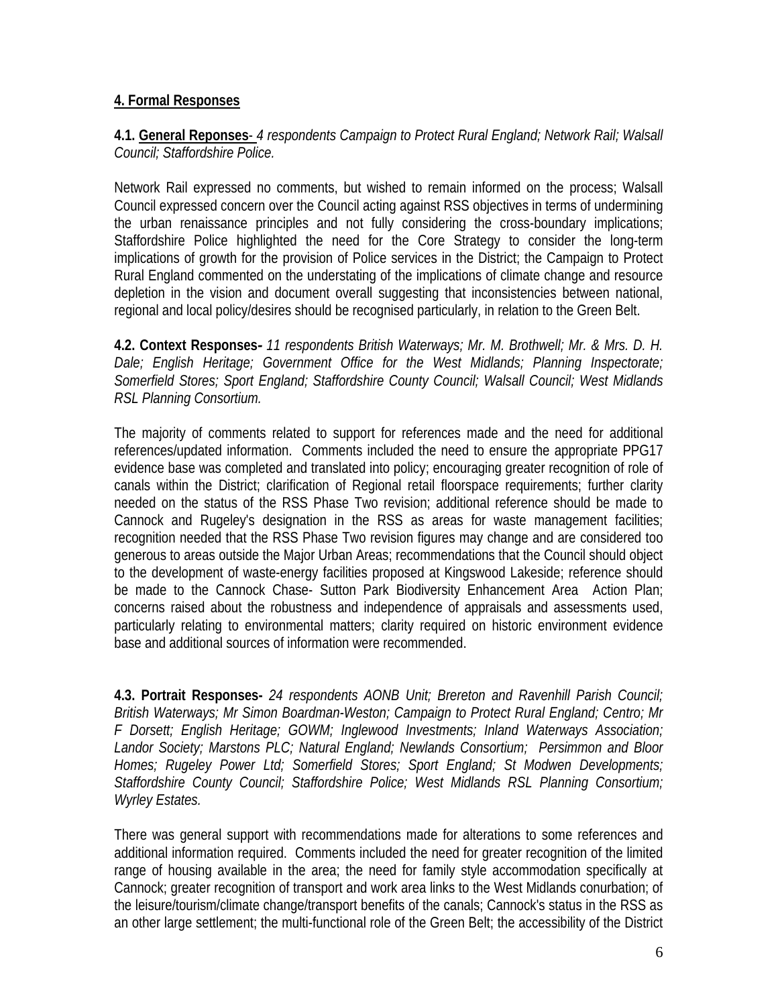#### **4. Formal Responses**

#### **4.1. General Reponses**- *4 respondents Campaign to Protect Rural England; Network Rail; Walsall Council; Staffordshire Police.*

Network Rail expressed no comments, but wished to remain informed on the process; Walsall Council expressed concern over the Council acting against RSS objectives in terms of undermining the urban renaissance principles and not fully considering the cross-boundary implications; Staffordshire Police highlighted the need for the Core Strategy to consider the long-term implications of growth for the provision of Police services in the District; the Campaign to Protect Rural England commented on the understating of the implications of climate change and resource depletion in the vision and document overall suggesting that inconsistencies between national, regional and local policy/desires should be recognised particularly, in relation to the Green Belt.

**4.2. Context Responses***- 11 respondents British Waterways; Mr. M. Brothwell; Mr. & Mrs. D. H. Dale; English Heritage; Government Office for the West Midlands; Planning Inspectorate; Somerfield Stores; Sport England; Staffordshire County Council; Walsall Council; West Midlands RSL Planning Consortium.*

The majority of comments related to support for references made and the need for additional references/updated information. Comments included the need to ensure the appropriate PPG17 evidence base was completed and translated into policy; encouraging greater recognition of role of canals within the District; clarification of Regional retail floorspace requirements; further clarity needed on the status of the RSS Phase Two revision; additional reference should be made to Cannock and Rugeley's designation in the RSS as areas for waste management facilities; recognition needed that the RSS Phase Two revision figures may change and are considered too generous to areas outside the Major Urban Areas; recommendations that the Council should object to the development of waste-energy facilities proposed at Kingswood Lakeside; reference should be made to the Cannock Chase- Sutton Park Biodiversity Enhancement Area Action Plan; concerns raised about the robustness and independence of appraisals and assessments used, particularly relating to environmental matters; clarity required on historic environment evidence base and additional sources of information were recommended.

**4.3. Portrait Responses-** *24 respondents AONB Unit; Brereton and Ravenhill Parish Council; British Waterways; Mr Simon Boardman-Weston; Campaign to Protect Rural England; Centro; Mr F Dorsett; English Heritage; GOWM; Inglewood Investments; Inland Waterways Association; Landor Society; Marstons PLC; Natural England; Newlands Consortium; Persimmon and Bloor Homes; Rugeley Power Ltd; Somerfield Stores; Sport England; St Modwen Developments; Staffordshire County Council; Staffordshire Police; West Midlands RSL Planning Consortium; Wyrley Estates.*

There was general support with recommendations made for alterations to some references and additional information required. Comments included the need for greater recognition of the limited range of housing available in the area; the need for family style accommodation specifically at Cannock; greater recognition of transport and work area links to the West Midlands conurbation; of the leisure/tourism/climate change/transport benefits of the canals; Cannock's status in the RSS as an other large settlement; the multi-functional role of the Green Belt; the accessibility of the District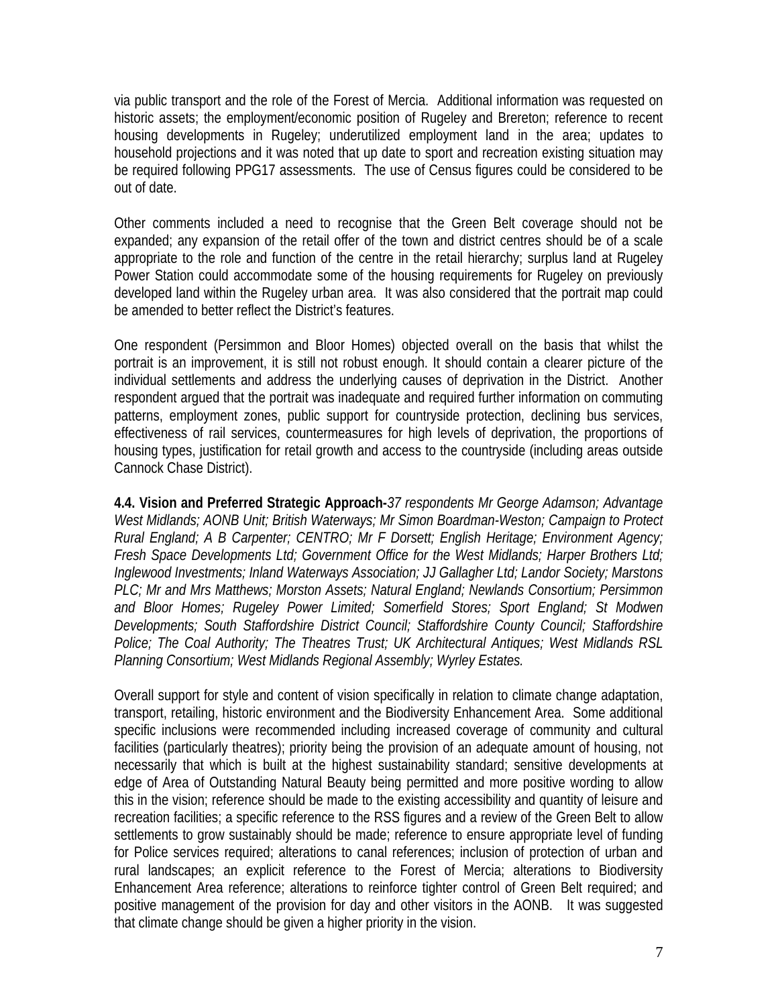via public transport and the role of the Forest of Mercia. Additional information was requested on historic assets; the employment/economic position of Rugeley and Brereton; reference to recent housing developments in Rugeley; underutilized employment land in the area; updates to household projections and it was noted that up date to sport and recreation existing situation may be required following PPG17 assessments. The use of Census figures could be considered to be out of date.

Other comments included a need to recognise that the Green Belt coverage should not be expanded; any expansion of the retail offer of the town and district centres should be of a scale appropriate to the role and function of the centre in the retail hierarchy; surplus land at Rugeley Power Station could accommodate some of the housing requirements for Rugeley on previously developed land within the Rugeley urban area. It was also considered that the portrait map could be amended to better reflect the District's features.

One respondent (Persimmon and Bloor Homes) objected overall on the basis that whilst the portrait is an improvement, it is still not robust enough. It should contain a clearer picture of the individual settlements and address the underlying causes of deprivation in the District. Another respondent argued that the portrait was inadequate and required further information on commuting patterns, employment zones, public support for countryside protection, declining bus services, effectiveness of rail services, countermeasures for high levels of deprivation, the proportions of housing types, justification for retail growth and access to the countryside (including areas outside Cannock Chase District).

**4.4. Vision and Preferred Strategic Approach-***37 respondents Mr George Adamson; Advantage West Midlands; AONB Unit; British Waterways; Mr Simon Boardman-Weston; Campaign to Protect Rural England; A B Carpenter; CENTRO; Mr F Dorsett; English Heritage; Environment Agency; Fresh Space Developments Ltd; Government Office for the West Midlands; Harper Brothers Ltd; Inglewood Investments; Inland Waterways Association; JJ Gallagher Ltd; Landor Society; Marstons PLC; Mr and Mrs Matthews; Morston Assets; Natural England; Newlands Consortium; Persimmon and Bloor Homes; Rugeley Power Limited; Somerfield Stores; Sport England; St Modwen Developments; South Staffordshire District Council; Staffordshire County Council; Staffordshire Police; The Coal Authority; The Theatres Trust; UK Architectural Antiques; West Midlands RSL Planning Consortium; West Midlands Regional Assembly; Wyrley Estates.*

Overall support for style and content of vision specifically in relation to climate change adaptation, transport, retailing, historic environment and the Biodiversity Enhancement Area. Some additional specific inclusions were recommended including increased coverage of community and cultural facilities (particularly theatres); priority being the provision of an adequate amount of housing, not necessarily that which is built at the highest sustainability standard; sensitive developments at edge of Area of Outstanding Natural Beauty being permitted and more positive wording to allow this in the vision; reference should be made to the existing accessibility and quantity of leisure and recreation facilities; a specific reference to the RSS figures and a review of the Green Belt to allow settlements to grow sustainably should be made; reference to ensure appropriate level of funding for Police services required; alterations to canal references; inclusion of protection of urban and rural landscapes; an explicit reference to the Forest of Mercia; alterations to Biodiversity Enhancement Area reference; alterations to reinforce tighter control of Green Belt required; and positive management of the provision for day and other visitors in the AONB. It was suggested that climate change should be given a higher priority in the vision.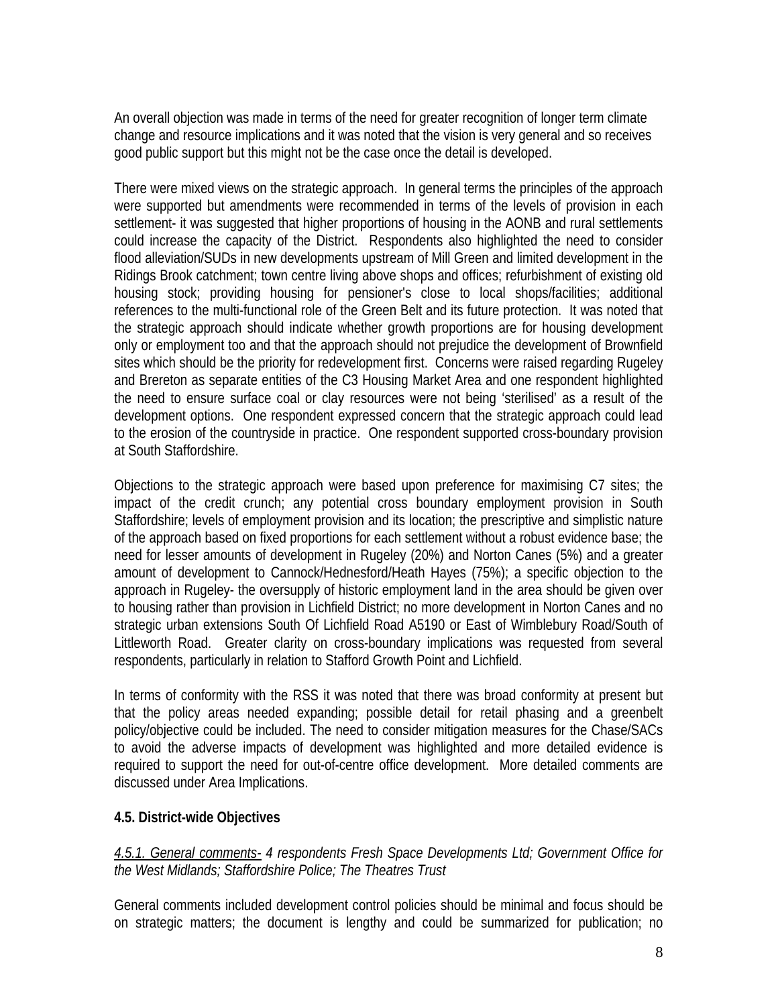An overall objection was made in terms of the need for greater recognition of longer term climate change and resource implications and it was noted that the vision is very general and so receives good public support but this might not be the case once the detail is developed.

There were mixed views on the strategic approach. In general terms the principles of the approach were supported but amendments were recommended in terms of the levels of provision in each settlement- it was suggested that higher proportions of housing in the AONB and rural settlements could increase the capacity of the District. Respondents also highlighted the need to consider flood alleviation/SUDs in new developments upstream of Mill Green and limited development in the Ridings Brook catchment; town centre living above shops and offices; refurbishment of existing old housing stock; providing housing for pensioner's close to local shops/facilities; additional references to the multi-functional role of the Green Belt and its future protection. It was noted that the strategic approach should indicate whether growth proportions are for housing development only or employment too and that the approach should not prejudice the development of Brownfield sites which should be the priority for redevelopment first. Concerns were raised regarding Rugeley and Brereton as separate entities of the C3 Housing Market Area and one respondent highlighted the need to ensure surface coal or clay resources were not being 'sterilised' as a result of the development options. One respondent expressed concern that the strategic approach could lead to the erosion of the countryside in practice. One respondent supported cross-boundary provision at South Staffordshire.

Objections to the strategic approach were based upon preference for maximising C7 sites; the impact of the credit crunch; any potential cross boundary employment provision in South Staffordshire; levels of employment provision and its location; the prescriptive and simplistic nature of the approach based on fixed proportions for each settlement without a robust evidence base; the need for lesser amounts of development in Rugeley (20%) and Norton Canes (5%) and a greater amount of development to Cannock/Hednesford/Heath Hayes (75%); a specific objection to the approach in Rugeley- the oversupply of historic employment land in the area should be given over to housing rather than provision in Lichfield District; no more development in Norton Canes and no strategic urban extensions South Of Lichfield Road A5190 or East of Wimblebury Road/South of Littleworth Road. Greater clarity on cross-boundary implications was requested from several respondents, particularly in relation to Stafford Growth Point and Lichfield.

In terms of conformity with the RSS it was noted that there was broad conformity at present but that the policy areas needed expanding; possible detail for retail phasing and a greenbelt policy/objective could be included. The need to consider mitigation measures for the Chase/SACs to avoid the adverse impacts of development was highlighted and more detailed evidence is required to support the need for out-of-centre office development. More detailed comments are discussed under Area Implications.

#### **4.5. District-wide Objectives**

*4.5.1. General comments- 4 respondents Fresh Space Developments Ltd; Government Office for the West Midlands; Staffordshire Police; The Theatres Trust* 

General comments included development control policies should be minimal and focus should be on strategic matters; the document is lengthy and could be summarized for publication; no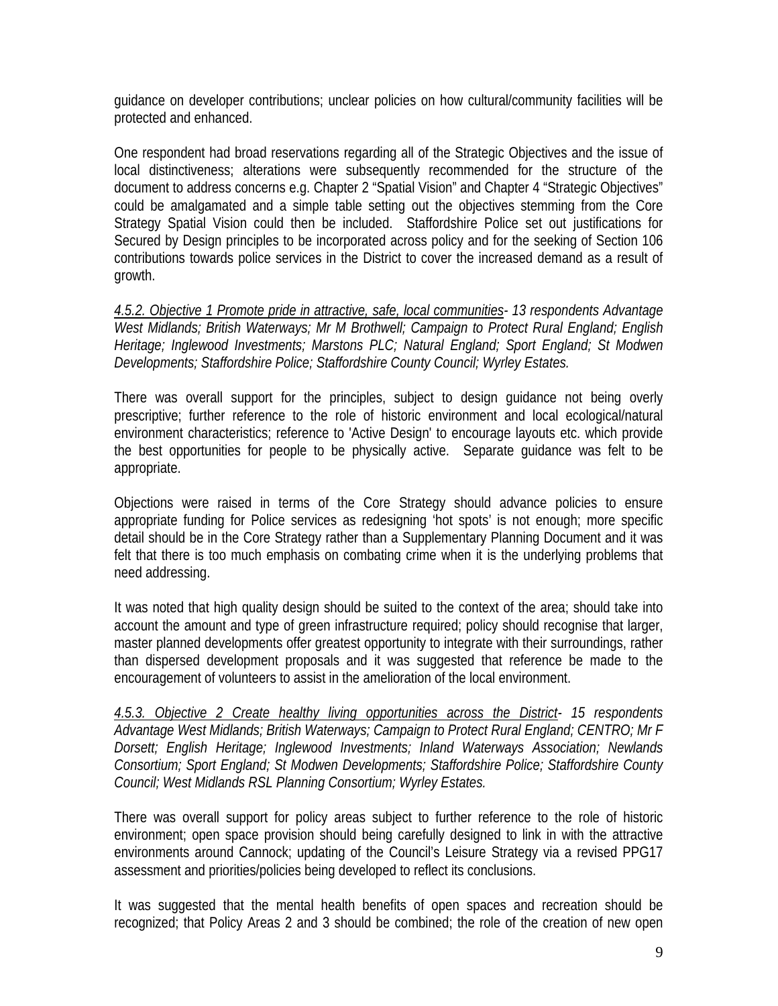guidance on developer contributions; unclear policies on how cultural/community facilities will be protected and enhanced.

One respondent had broad reservations regarding all of the Strategic Objectives and the issue of local distinctiveness; alterations were subsequently recommended for the structure of the document to address concerns e.g. Chapter 2 "Spatial Vision" and Chapter 4 "Strategic Objectives" could be amalgamated and a simple table setting out the objectives stemming from the Core Strategy Spatial Vision could then be included. Staffordshire Police set out justifications for Secured by Design principles to be incorporated across policy and for the seeking of Section 106 contributions towards police services in the District to cover the increased demand as a result of growth.

*4.5.2. Objective 1 Promote pride in attractive, safe, local communities- 13 respondents Advantage West Midlands; British Waterways; Mr M Brothwell; Campaign to Protect Rural England; English Heritage; Inglewood Investments; Marstons PLC; Natural England; Sport England; St Modwen Developments; Staffordshire Police; Staffordshire County Council; Wyrley Estates.* 

There was overall support for the principles, subject to design guidance not being overly prescriptive; further reference to the role of historic environment and local ecological/natural environment characteristics; reference to 'Active Design' to encourage layouts etc. which provide the best opportunities for people to be physically active. Separate guidance was felt to be appropriate.

Objections were raised in terms of the Core Strategy should advance policies to ensure appropriate funding for Police services as redesigning 'hot spots' is not enough; more specific detail should be in the Core Strategy rather than a Supplementary Planning Document and it was felt that there is too much emphasis on combating crime when it is the underlying problems that need addressing.

It was noted that high quality design should be suited to the context of the area; should take into account the amount and type of green infrastructure required; policy should recognise that larger, master planned developments offer greatest opportunity to integrate with their surroundings, rather than dispersed development proposals and it was suggested that reference be made to the encouragement of volunteers to assist in the amelioration of the local environment.

*4.5.3. Objective 2 Create healthy living opportunities across the District- 15 respondents Advantage West Midlands; British Waterways; Campaign to Protect Rural England; CENTRO; Mr F Dorsett; English Heritage; Inglewood Investments; Inland Waterways Association; Newlands Consortium; Sport England; St Modwen Developments; Staffordshire Police; Staffordshire County Council; West Midlands RSL Planning Consortium; Wyrley Estates.* 

There was overall support for policy areas subject to further reference to the role of historic environment; open space provision should being carefully designed to link in with the attractive environments around Cannock; updating of the Council's Leisure Strategy via a revised PPG17 assessment and priorities/policies being developed to reflect its conclusions.

It was suggested that the mental health benefits of open spaces and recreation should be recognized; that Policy Areas 2 and 3 should be combined; the role of the creation of new open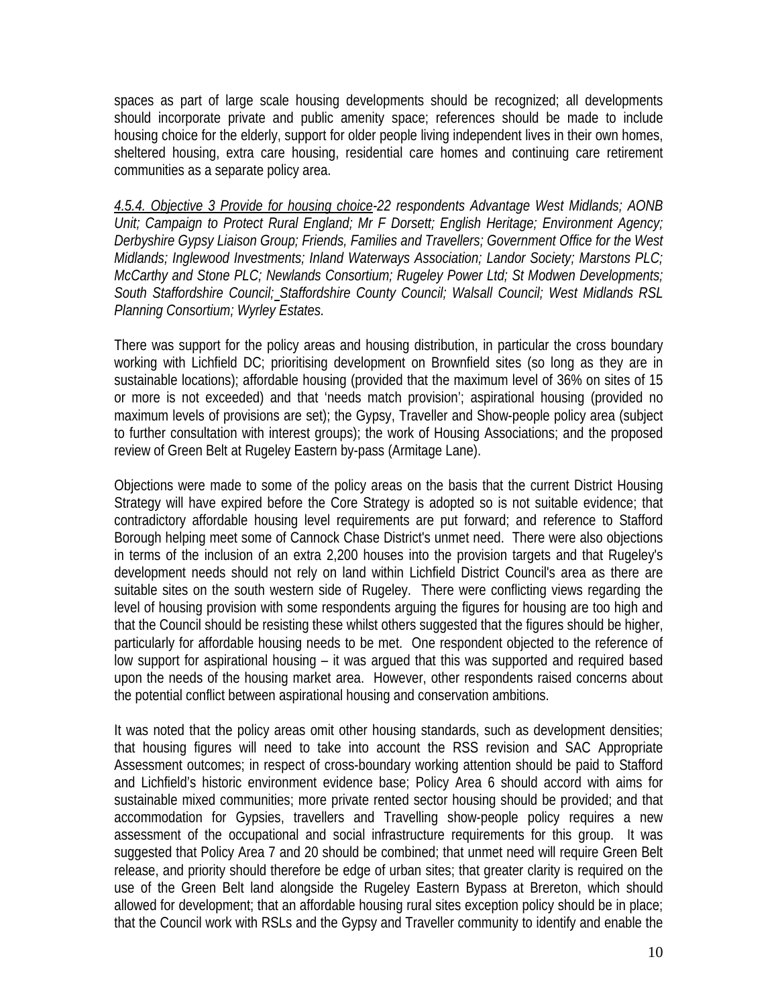spaces as part of large scale housing developments should be recognized; all developments should incorporate private and public amenity space; references should be made to include housing choice for the elderly, support for older people living independent lives in their own homes, sheltered housing, extra care housing, residential care homes and continuing care retirement communities as a separate policy area.

*4.5.4. Objective 3 Provide for housing choice-22 respondents Advantage West Midlands; AONB Unit; Campaign to Protect Rural England; Mr F Dorsett; English Heritage; Environment Agency; Derbyshire Gypsy Liaison Group; Friends, Families and Travellers; Government Office for the West Midlands; Inglewood Investments; Inland Waterways Association; Landor Society; Marstons PLC; McCarthy and Stone PLC; Newlands Consortium; Rugeley Power Ltd; St Modwen Developments; South Staffordshire Council; Staffordshire County Council; Walsall Council; West Midlands RSL Planning Consortium; Wyrley Estates.* 

There was support for the policy areas and housing distribution, in particular the cross boundary working with Lichfield DC; prioritising development on Brownfield sites (so long as they are in sustainable locations); affordable housing (provided that the maximum level of 36% on sites of 15 or more is not exceeded) and that 'needs match provision'; aspirational housing (provided no maximum levels of provisions are set); the Gypsy, Traveller and Show-people policy area (subject to further consultation with interest groups); the work of Housing Associations; and the proposed review of Green Belt at Rugeley Eastern by-pass (Armitage Lane).

Objections were made to some of the policy areas on the basis that the current District Housing Strategy will have expired before the Core Strategy is adopted so is not suitable evidence; that contradictory affordable housing level requirements are put forward; and reference to Stafford Borough helping meet some of Cannock Chase District's unmet need. There were also objections in terms of the inclusion of an extra 2,200 houses into the provision targets and that Rugeley's development needs should not rely on land within Lichfield District Council's area as there are suitable sites on the south western side of Rugeley. There were conflicting views regarding the level of housing provision with some respondents arguing the figures for housing are too high and that the Council should be resisting these whilst others suggested that the figures should be higher, particularly for affordable housing needs to be met. One respondent objected to the reference of low support for aspirational housing – it was argued that this was supported and required based upon the needs of the housing market area. However, other respondents raised concerns about the potential conflict between aspirational housing and conservation ambitions.

It was noted that the policy areas omit other housing standards, such as development densities; that housing figures will need to take into account the RSS revision and SAC Appropriate Assessment outcomes; in respect of cross-boundary working attention should be paid to Stafford and Lichfield's historic environment evidence base; Policy Area 6 should accord with aims for sustainable mixed communities; more private rented sector housing should be provided; and that accommodation for Gypsies, travellers and Travelling show-people policy requires a new assessment of the occupational and social infrastructure requirements for this group. It was suggested that Policy Area 7 and 20 should be combined; that unmet need will require Green Belt release, and priority should therefore be edge of urban sites; that greater clarity is required on the use of the Green Belt land alongside the Rugeley Eastern Bypass at Brereton, which should allowed for development; that an affordable housing rural sites exception policy should be in place; that the Council work with RSLs and the Gypsy and Traveller community to identify and enable the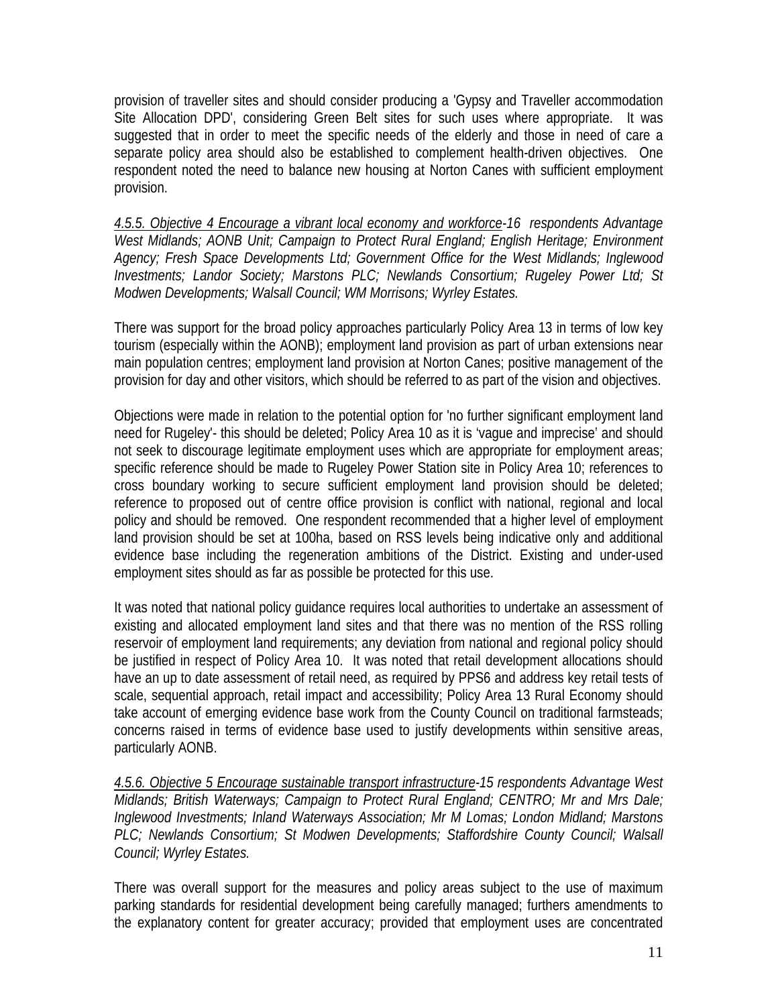provision of traveller sites and should consider producing a 'Gypsy and Traveller accommodation Site Allocation DPD', considering Green Belt sites for such uses where appropriate. It was suggested that in order to meet the specific needs of the elderly and those in need of care a separate policy area should also be established to complement health-driven objectives. One respondent noted the need to balance new housing at Norton Canes with sufficient employment provision.

*4.5.5. Objective 4 Encourage a vibrant local economy and workforce-16 respondents Advantage West Midlands; AONB Unit; Campaign to Protect Rural England; English Heritage; Environment Agency; Fresh Space Developments Ltd; Government Office for the West Midlands; Inglewood Investments; Landor Society; Marstons PLC; Newlands Consortium; Rugeley Power Ltd; St Modwen Developments; Walsall Council; WM Morrisons; Wyrley Estates.* 

There was support for the broad policy approaches particularly Policy Area 13 in terms of low key tourism (especially within the AONB); employment land provision as part of urban extensions near main population centres; employment land provision at Norton Canes; positive management of the provision for day and other visitors, which should be referred to as part of the vision and objectives.

Objections were made in relation to the potential option for 'no further significant employment land need for Rugeley'- this should be deleted; Policy Area 10 as it is 'vague and imprecise' and should not seek to discourage legitimate employment uses which are appropriate for employment areas; specific reference should be made to Rugeley Power Station site in Policy Area 10; references to cross boundary working to secure sufficient employment land provision should be deleted; reference to proposed out of centre office provision is conflict with national, regional and local policy and should be removed. One respondent recommended that a higher level of employment land provision should be set at 100ha, based on RSS levels being indicative only and additional evidence base including the regeneration ambitions of the District. Existing and under-used employment sites should as far as possible be protected for this use.

It was noted that national policy guidance requires local authorities to undertake an assessment of existing and allocated employment land sites and that there was no mention of the RSS rolling reservoir of employment land requirements; any deviation from national and regional policy should be justified in respect of Policy Area 10. It was noted that retail development allocations should have an up to date assessment of retail need, as required by PPS6 and address key retail tests of scale, sequential approach, retail impact and accessibility; Policy Area 13 Rural Economy should take account of emerging evidence base work from the County Council on traditional farmsteads; concerns raised in terms of evidence base used to justify developments within sensitive areas, particularly AONB.

*4.5.6. Objective 5 Encourage sustainable transport infrastructure-15 respondents Advantage West Midlands; British Waterways; Campaign to Protect Rural England; CENTRO; Mr and Mrs Dale; Inglewood Investments; Inland Waterways Association; Mr M Lomas; London Midland; Marstons PLC; Newlands Consortium; St Modwen Developments; Staffordshire County Council; Walsall Council; Wyrley Estates.* 

There was overall support for the measures and policy areas subject to the use of maximum parking standards for residential development being carefully managed; furthers amendments to the explanatory content for greater accuracy; provided that employment uses are concentrated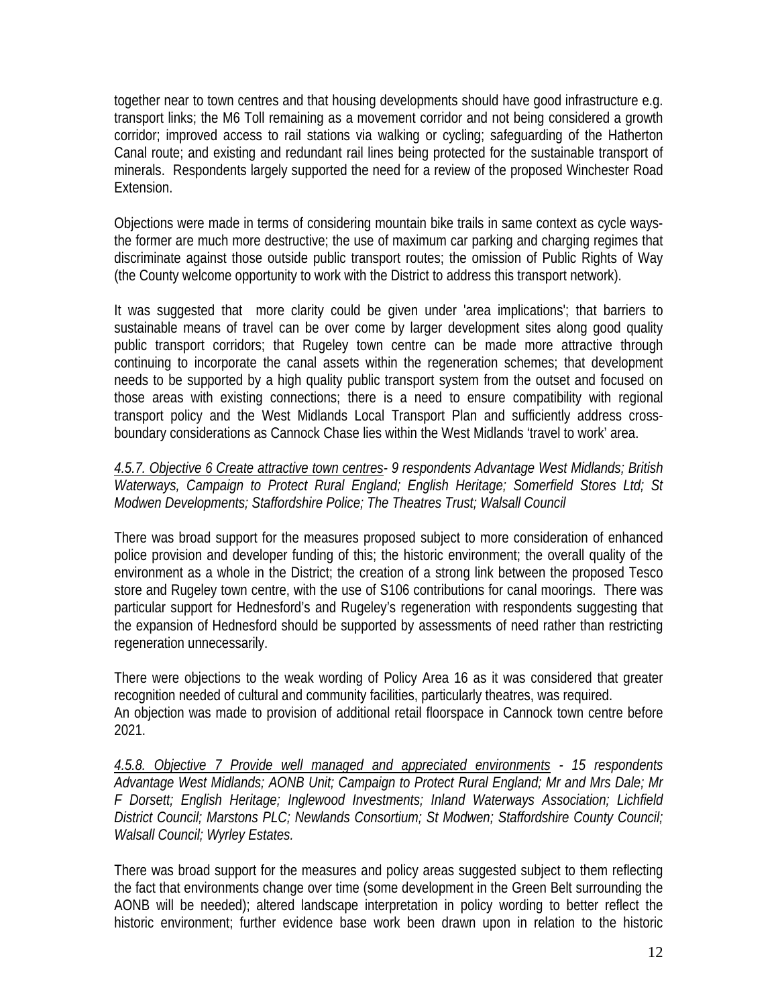together near to town centres and that housing developments should have good infrastructure e.g. transport links; the M6 Toll remaining as a movement corridor and not being considered a growth corridor; improved access to rail stations via walking or cycling; safeguarding of the Hatherton Canal route; and existing and redundant rail lines being protected for the sustainable transport of minerals. Respondents largely supported the need for a review of the proposed Winchester Road Extension.

Objections were made in terms of considering mountain bike trails in same context as cycle waysthe former are much more destructive; the use of maximum car parking and charging regimes that discriminate against those outside public transport routes; the omission of Public Rights of Way (the County welcome opportunity to work with the District to address this transport network).

It was suggested that more clarity could be given under 'area implications'; that barriers to sustainable means of travel can be over come by larger development sites along good quality public transport corridors; that Rugeley town centre can be made more attractive through continuing to incorporate the canal assets within the regeneration schemes; that development needs to be supported by a high quality public transport system from the outset and focused on those areas with existing connections; there is a need to ensure compatibility with regional transport policy and the West Midlands Local Transport Plan and sufficiently address crossboundary considerations as Cannock Chase lies within the West Midlands 'travel to work' area.

*4.5.7. Objective 6 Create attractive town centres- 9 respondents Advantage West Midlands; British Waterways, Campaign to Protect Rural England; English Heritage; Somerfield Stores Ltd; St Modwen Developments; Staffordshire Police; The Theatres Trust; Walsall Council* 

There was broad support for the measures proposed subject to more consideration of enhanced police provision and developer funding of this; the historic environment; the overall quality of the environment as a whole in the District; the creation of a strong link between the proposed Tesco store and Rugeley town centre, with the use of S106 contributions for canal moorings. There was particular support for Hednesford's and Rugeley's regeneration with respondents suggesting that the expansion of Hednesford should be supported by assessments of need rather than restricting regeneration unnecessarily.

There were objections to the weak wording of Policy Area 16 as it was considered that greater recognition needed of cultural and community facilities, particularly theatres, was required. An objection was made to provision of additional retail floorspace in Cannock town centre before 2021.

*4.5.8. Objective 7 Provide well managed and appreciated environments - 15 respondents Advantage West Midlands; AONB Unit; Campaign to Protect Rural England; Mr and Mrs Dale; Mr F Dorsett; English Heritage; Inglewood Investments; Inland Waterways Association; Lichfield District Council; Marstons PLC; Newlands Consortium; St Modwen; Staffordshire County Council; Walsall Council; Wyrley Estates.* 

There was broad support for the measures and policy areas suggested subject to them reflecting the fact that environments change over time (some development in the Green Belt surrounding the AONB will be needed); altered landscape interpretation in policy wording to better reflect the historic environment; further evidence base work been drawn upon in relation to the historic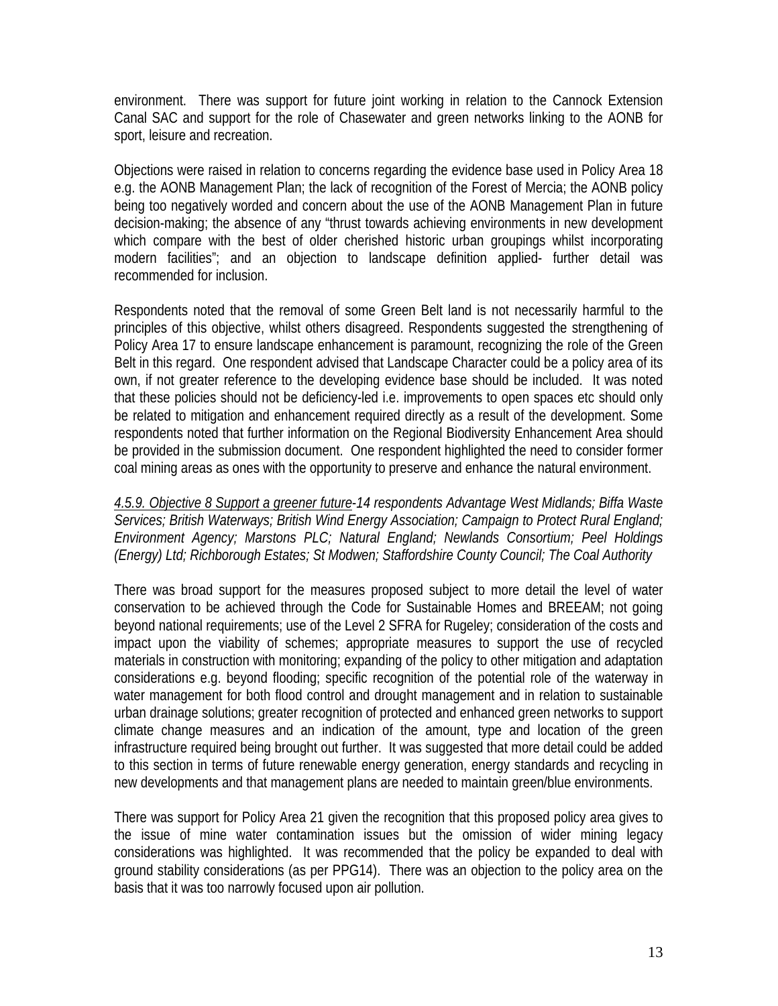environment. There was support for future joint working in relation to the Cannock Extension Canal SAC and support for the role of Chasewater and green networks linking to the AONB for sport, leisure and recreation.

Objections were raised in relation to concerns regarding the evidence base used in Policy Area 18 e.g. the AONB Management Plan; the lack of recognition of the Forest of Mercia; the AONB policy being too negatively worded and concern about the use of the AONB Management Plan in future decision-making; the absence of any "thrust towards achieving environments in new development which compare with the best of older cherished historic urban groupings whilst incorporating modern facilities"; and an objection to landscape definition applied- further detail was recommended for inclusion.

Respondents noted that the removal of some Green Belt land is not necessarily harmful to the principles of this objective, whilst others disagreed. Respondents suggested the strengthening of Policy Area 17 to ensure landscape enhancement is paramount, recognizing the role of the Green Belt in this regard. One respondent advised that Landscape Character could be a policy area of its own, if not greater reference to the developing evidence base should be included. It was noted that these policies should not be deficiency-led i.e. improvements to open spaces etc should only be related to mitigation and enhancement required directly as a result of the development. Some respondents noted that further information on the Regional Biodiversity Enhancement Area should be provided in the submission document. One respondent highlighted the need to consider former coal mining areas as ones with the opportunity to preserve and enhance the natural environment.

*4.5.9. Objective 8 Support a greener future*-*14 respondents Advantage West Midlands; Biffa Waste Services; British Waterways; British Wind Energy Association; Campaign to Protect Rural England; Environment Agency; Marstons PLC; Natural England; Newlands Consortium; Peel Holdings (Energy) Ltd; Richborough Estates; St Modwen; Staffordshire County Council; The Coal Authority*

There was broad support for the measures proposed subject to more detail the level of water conservation to be achieved through the Code for Sustainable Homes and BREEAM; not going beyond national requirements; use of the Level 2 SFRA for Rugeley; consideration of the costs and impact upon the viability of schemes; appropriate measures to support the use of recycled materials in construction with monitoring; expanding of the policy to other mitigation and adaptation considerations e.g. beyond flooding; specific recognition of the potential role of the waterway in water management for both flood control and drought management and in relation to sustainable urban drainage solutions; greater recognition of protected and enhanced green networks to support climate change measures and an indication of the amount, type and location of the green infrastructure required being brought out further. It was suggested that more detail could be added to this section in terms of future renewable energy generation, energy standards and recycling in new developments and that management plans are needed to maintain green/blue environments.

There was support for Policy Area 21 given the recognition that this proposed policy area gives to the issue of mine water contamination issues but the omission of wider mining legacy considerations was highlighted. It was recommended that the policy be expanded to deal with ground stability considerations (as per PPG14). There was an objection to the policy area on the basis that it was too narrowly focused upon air pollution.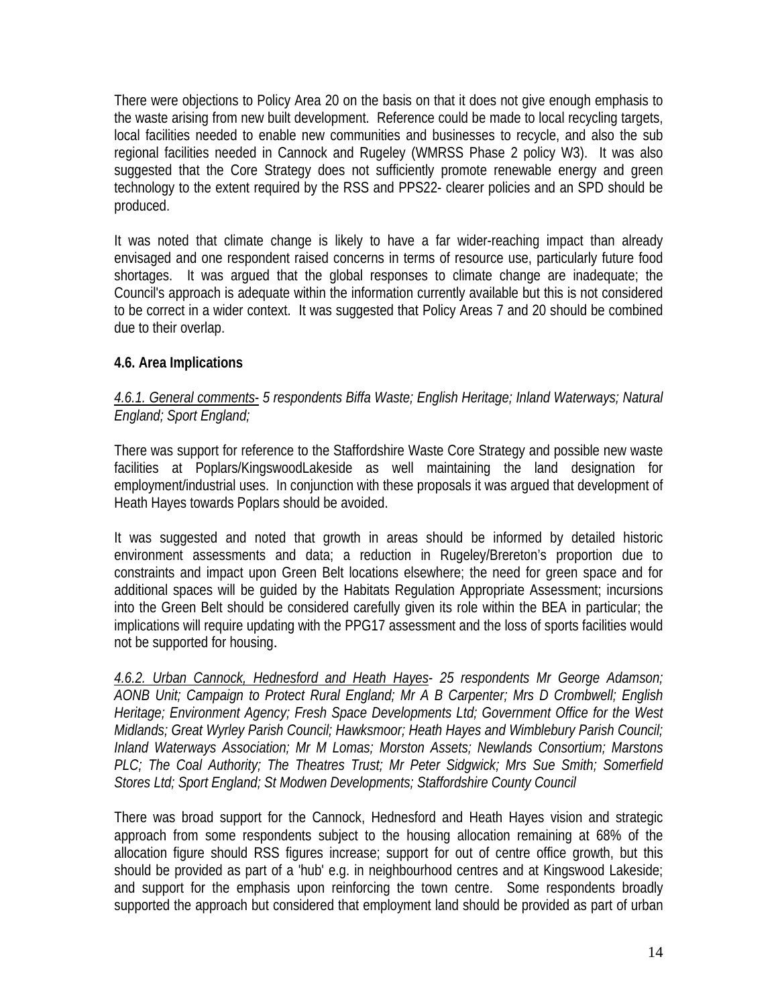There were objections to Policy Area 20 on the basis on that it does not give enough emphasis to the waste arising from new built development. Reference could be made to local recycling targets, local facilities needed to enable new communities and businesses to recycle, and also the sub regional facilities needed in Cannock and Rugeley (WMRSS Phase 2 policy W3). It was also suggested that the Core Strategy does not sufficiently promote renewable energy and green technology to the extent required by the RSS and PPS22- clearer policies and an SPD should be produced.

It was noted that climate change is likely to have a far wider-reaching impact than already envisaged and one respondent raised concerns in terms of resource use, particularly future food shortages. It was argued that the global responses to climate change are inadequate; the Council's approach is adequate within the information currently available but this is not considered to be correct in a wider context. It was suggested that Policy Areas 7 and 20 should be combined due to their overlap.

## **4.6. Area Implications**

## *4.6.1. General comments*- *5 respondents Biffa Waste; English Heritage; Inland Waterways; Natural England; Sport England;*

There was support for reference to the Staffordshire Waste Core Strategy and possible new waste facilities at Poplars/KingswoodLakeside as well maintaining the land designation for employment/industrial uses. In conjunction with these proposals it was argued that development of Heath Hayes towards Poplars should be avoided.

It was suggested and noted that growth in areas should be informed by detailed historic environment assessments and data; a reduction in Rugeley/Brereton's proportion due to constraints and impact upon Green Belt locations elsewhere; the need for green space and for additional spaces will be guided by the Habitats Regulation Appropriate Assessment; incursions into the Green Belt should be considered carefully given its role within the BEA in particular; the implications will require updating with the PPG17 assessment and the loss of sports facilities would not be supported for housing.

*4.6.2. Urban Cannock, Hednesford and Heath Hayes*- *25 respondents Mr George Adamson; AONB Unit; Campaign to Protect Rural England; Mr A B Carpenter; Mrs D Crombwell; English Heritage; Environment Agency; Fresh Space Developments Ltd; Government Office for the West Midlands; Great Wyrley Parish Council; Hawksmoor; Heath Hayes and Wimblebury Parish Council; Inland Waterways Association; Mr M Lomas; Morston Assets; Newlands Consortium; Marstons PLC; The Coal Authority; The Theatres Trust; Mr Peter Sidgwick; Mrs Sue Smith; Somerfield Stores Ltd; Sport England; St Modwen Developments; Staffordshire County Council* 

There was broad support for the Cannock, Hednesford and Heath Hayes vision and strategic approach from some respondents subject to the housing allocation remaining at 68% of the allocation figure should RSS figures increase; support for out of centre office growth, but this should be provided as part of a 'hub' e.g. in neighbourhood centres and at Kingswood Lakeside; and support for the emphasis upon reinforcing the town centre. Some respondents broadly supported the approach but considered that employment land should be provided as part of urban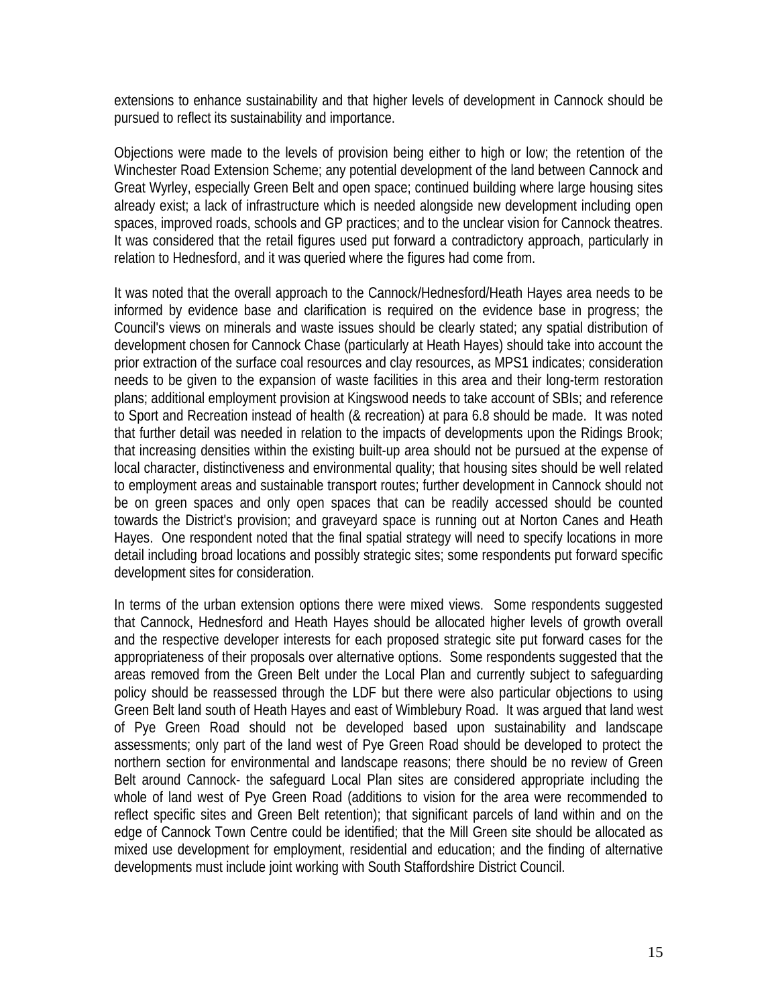extensions to enhance sustainability and that higher levels of development in Cannock should be pursued to reflect its sustainability and importance.

Objections were made to the levels of provision being either to high or low; the retention of the Winchester Road Extension Scheme; any potential development of the land between Cannock and Great Wyrley, especially Green Belt and open space; continued building where large housing sites already exist; a lack of infrastructure which is needed alongside new development including open spaces, improved roads, schools and GP practices; and to the unclear vision for Cannock theatres. It was considered that the retail figures used put forward a contradictory approach, particularly in relation to Hednesford, and it was queried where the figures had come from.

It was noted that the overall approach to the Cannock/Hednesford/Heath Hayes area needs to be informed by evidence base and clarification is required on the evidence base in progress; the Council's views on minerals and waste issues should be clearly stated; any spatial distribution of development chosen for Cannock Chase (particularly at Heath Hayes) should take into account the prior extraction of the surface coal resources and clay resources, as MPS1 indicates; consideration needs to be given to the expansion of waste facilities in this area and their long-term restoration plans; additional employment provision at Kingswood needs to take account of SBIs; and reference to Sport and Recreation instead of health (& recreation) at para 6.8 should be made. It was noted that further detail was needed in relation to the impacts of developments upon the Ridings Brook; that increasing densities within the existing built-up area should not be pursued at the expense of local character, distinctiveness and environmental quality; that housing sites should be well related to employment areas and sustainable transport routes; further development in Cannock should not be on green spaces and only open spaces that can be readily accessed should be counted towards the District's provision; and graveyard space is running out at Norton Canes and Heath Hayes. One respondent noted that the final spatial strategy will need to specify locations in more detail including broad locations and possibly strategic sites; some respondents put forward specific development sites for consideration.

In terms of the urban extension options there were mixed views. Some respondents suggested that Cannock, Hednesford and Heath Hayes should be allocated higher levels of growth overall and the respective developer interests for each proposed strategic site put forward cases for the appropriateness of their proposals over alternative options. Some respondents suggested that the areas removed from the Green Belt under the Local Plan and currently subject to safeguarding policy should be reassessed through the LDF but there were also particular objections to using Green Belt land south of Heath Hayes and east of Wimblebury Road. It was argued that land west of Pye Green Road should not be developed based upon sustainability and landscape assessments; only part of the land west of Pye Green Road should be developed to protect the northern section for environmental and landscape reasons; there should be no review of Green Belt around Cannock- the safeguard Local Plan sites are considered appropriate including the whole of land west of Pye Green Road (additions to vision for the area were recommended to reflect specific sites and Green Belt retention); that significant parcels of land within and on the edge of Cannock Town Centre could be identified; that the Mill Green site should be allocated as mixed use development for employment, residential and education; and the finding of alternative developments must include joint working with South Staffordshire District Council.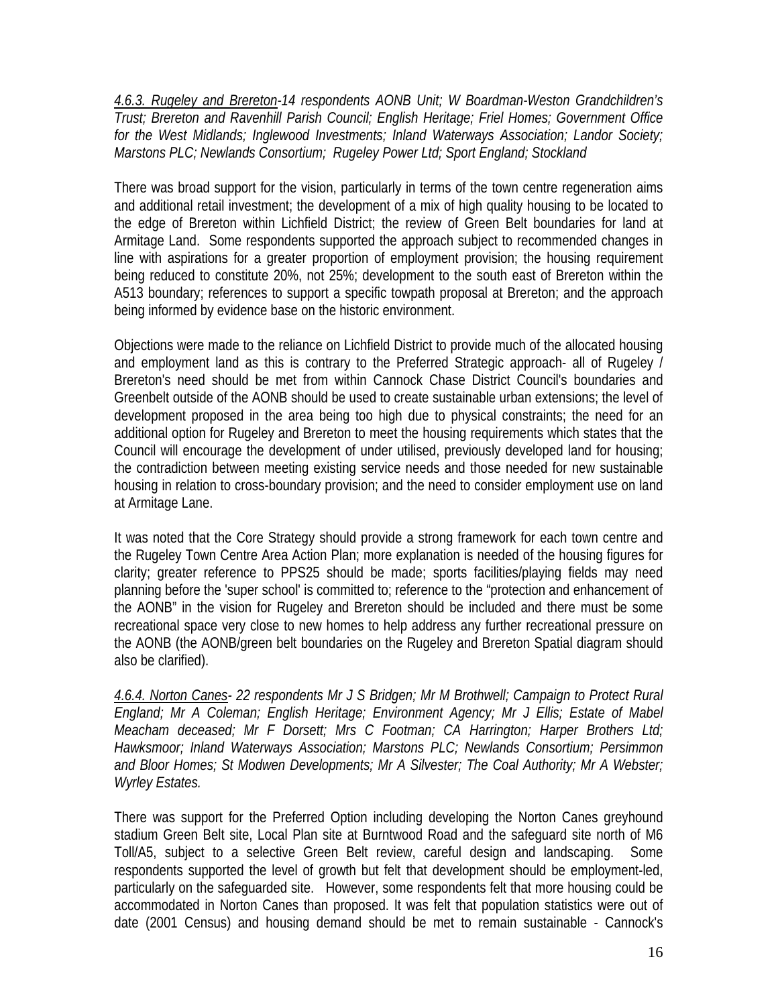*4.6.3. Rugeley and Brereton-14 respondents AONB Unit; W Boardman-Weston Grandchildren's Trust; Brereton and Ravenhill Parish Council; English Heritage; Friel Homes; Government Office for the West Midlands; Inglewood Investments; Inland Waterways Association; Landor Society; Marstons PLC; Newlands Consortium; Rugeley Power Ltd; Sport England; Stockland* 

There was broad support for the vision, particularly in terms of the town centre regeneration aims and additional retail investment; the development of a mix of high quality housing to be located to the edge of Brereton within Lichfield District; the review of Green Belt boundaries for land at Armitage Land. Some respondents supported the approach subject to recommended changes in line with aspirations for a greater proportion of employment provision; the housing requirement being reduced to constitute 20%, not 25%; development to the south east of Brereton within the A513 boundary; references to support a specific towpath proposal at Brereton; and the approach being informed by evidence base on the historic environment.

Objections were made to the reliance on Lichfield District to provide much of the allocated housing and employment land as this is contrary to the Preferred Strategic approach- all of Rugeley / Brereton's need should be met from within Cannock Chase District Council's boundaries and Greenbelt outside of the AONB should be used to create sustainable urban extensions; the level of development proposed in the area being too high due to physical constraints; the need for an additional option for Rugeley and Brereton to meet the housing requirements which states that the Council will encourage the development of under utilised, previously developed land for housing; the contradiction between meeting existing service needs and those needed for new sustainable housing in relation to cross-boundary provision; and the need to consider employment use on land at Armitage Lane.

It was noted that the Core Strategy should provide a strong framework for each town centre and the Rugeley Town Centre Area Action Plan; more explanation is needed of the housing figures for clarity; greater reference to PPS25 should be made; sports facilities/playing fields may need planning before the 'super school' is committed to; reference to the "protection and enhancement of the AONB" in the vision for Rugeley and Brereton should be included and there must be some recreational space very close to new homes to help address any further recreational pressure on the AONB (the AONB/green belt boundaries on the Rugeley and Brereton Spatial diagram should also be clarified).

*4.6.4. Norton Canes- 22 respondents Mr J S Bridgen; Mr M Brothwell; Campaign to Protect Rural England; Mr A Coleman; English Heritage; Environment Agency; Mr J Ellis; Estate of Mabel Meacham deceased; Mr F Dorsett; Mrs C Footman; CA Harrington; Harper Brothers Ltd; Hawksmoor; Inland Waterways Association; Marstons PLC; Newlands Consortium; Persimmon and Bloor Homes; St Modwen Developments; Mr A Silvester; The Coal Authority; Mr A Webster; Wyrley Estates.* 

There was support for the Preferred Option including developing the Norton Canes greyhound stadium Green Belt site, Local Plan site at Burntwood Road and the safeguard site north of M6 Toll/A5, subject to a selective Green Belt review, careful design and landscaping. Some respondents supported the level of growth but felt that development should be employment-led, particularly on the safeguarded site. However, some respondents felt that more housing could be accommodated in Norton Canes than proposed. It was felt that population statistics were out of date (2001 Census) and housing demand should be met to remain sustainable - Cannock's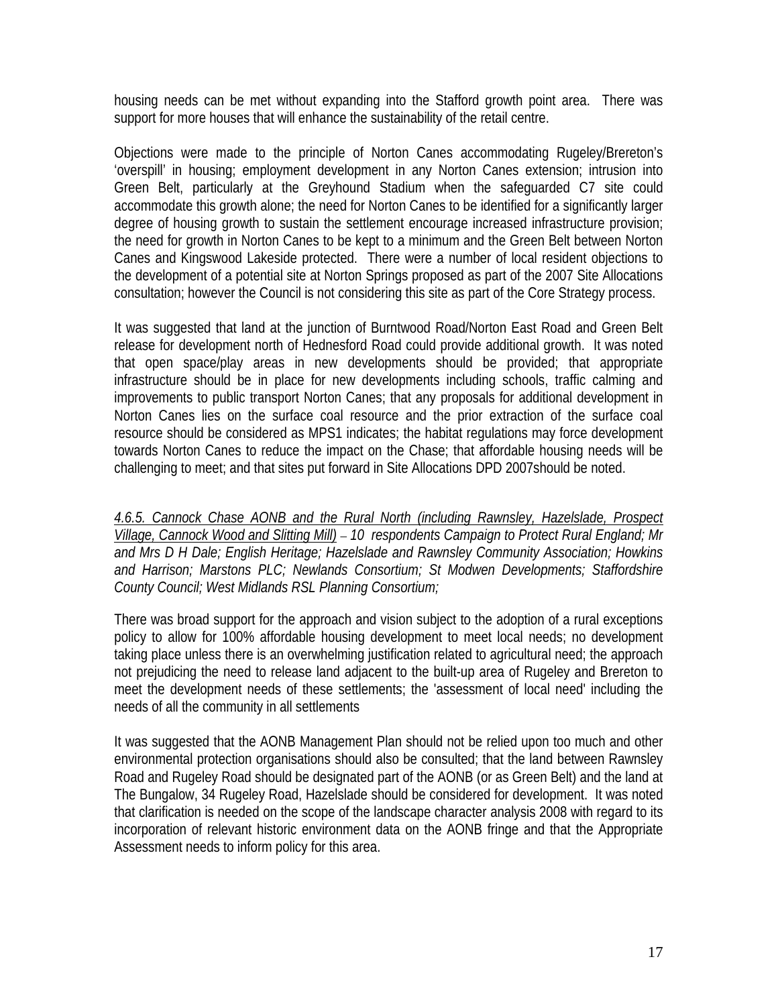housing needs can be met without expanding into the Stafford growth point area. There was support for more houses that will enhance the sustainability of the retail centre.

Objections were made to the principle of Norton Canes accommodating Rugeley/Brereton's 'overspill' in housing; employment development in any Norton Canes extension; intrusion into Green Belt, particularly at the Greyhound Stadium when the safeguarded C7 site could accommodate this growth alone; the need for Norton Canes to be identified for a significantly larger degree of housing growth to sustain the settlement encourage increased infrastructure provision; the need for growth in Norton Canes to be kept to a minimum and the Green Belt between Norton Canes and Kingswood Lakeside protected. There were a number of local resident objections to the development of a potential site at Norton Springs proposed as part of the 2007 Site Allocations consultation; however the Council is not considering this site as part of the Core Strategy process.

It was suggested that land at the junction of Burntwood Road/Norton East Road and Green Belt release for development north of Hednesford Road could provide additional growth. It was noted that open space/play areas in new developments should be provided; that appropriate infrastructure should be in place for new developments including schools, traffic calming and improvements to public transport Norton Canes; that any proposals for additional development in Norton Canes lies on the surface coal resource and the prior extraction of the surface coal resource should be considered as MPS1 indicates; the habitat regulations may force development towards Norton Canes to reduce the impact on the Chase; that affordable housing needs will be challenging to meet; and that sites put forward in Site Allocations DPD 2007should be noted.

*4.6.5. Cannock Chase AONB and the Rural North (including Rawnsley, Hazelslade, Prospect Village, Cannock Wood and Slitting Mill)* – *10 respondents Campaign to Protect Rural England; Mr and Mrs D H Dale; English Heritage; Hazelslade and Rawnsley Community Association; Howkins and Harrison; Marstons PLC; Newlands Consortium; St Modwen Developments; Staffordshire County Council; West Midlands RSL Planning Consortium;* 

There was broad support for the approach and vision subject to the adoption of a rural exceptions policy to allow for 100% affordable housing development to meet local needs; no development taking place unless there is an overwhelming justification related to agricultural need; the approach not prejudicing the need to release land adjacent to the built-up area of Rugeley and Brereton to meet the development needs of these settlements; the 'assessment of local need' including the needs of all the community in all settlements

It was suggested that the AONB Management Plan should not be relied upon too much and other environmental protection organisations should also be consulted; that the land between Rawnsley Road and Rugeley Road should be designated part of the AONB (or as Green Belt) and the land at The Bungalow, 34 Rugeley Road, Hazelslade should be considered for development. It was noted that clarification is needed on the scope of the landscape character analysis 2008 with regard to its incorporation of relevant historic environment data on the AONB fringe and that the Appropriate Assessment needs to inform policy for this area.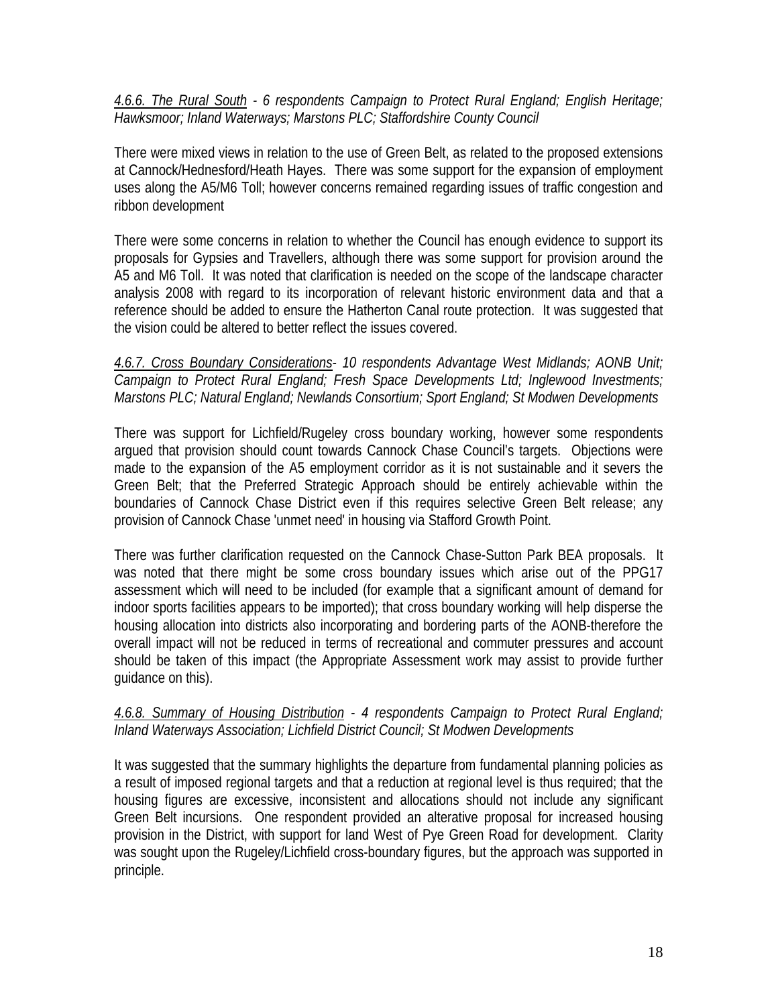*4.6.6. The Rural South - 6 respondents Campaign to Protect Rural England; English Heritage; Hawksmoor; Inland Waterways; Marstons PLC; Staffordshire County Council* 

There were mixed views in relation to the use of Green Belt, as related to the proposed extensions at Cannock/Hednesford/Heath Hayes. There was some support for the expansion of employment uses along the A5/M6 Toll; however concerns remained regarding issues of traffic congestion and ribbon development

There were some concerns in relation to whether the Council has enough evidence to support its proposals for Gypsies and Travellers, although there was some support for provision around the A5 and M6 Toll. It was noted that clarification is needed on the scope of the landscape character analysis 2008 with regard to its incorporation of relevant historic environment data and that a reference should be added to ensure the Hatherton Canal route protection. It was suggested that the vision could be altered to better reflect the issues covered.

## *4.6.7. Cross Boundary Considerations- 10 respondents Advantage West Midlands; AONB Unit; Campaign to Protect Rural England; Fresh Space Developments Ltd; Inglewood Investments; Marstons PLC; Natural England; Newlands Consortium; Sport England; St Modwen Developments*

There was support for Lichfield/Rugeley cross boundary working, however some respondents argued that provision should count towards Cannock Chase Council's targets. Objections were made to the expansion of the A5 employment corridor as it is not sustainable and it severs the Green Belt; that the Preferred Strategic Approach should be entirely achievable within the boundaries of Cannock Chase District even if this requires selective Green Belt release; any provision of Cannock Chase 'unmet need' in housing via Stafford Growth Point.

There was further clarification requested on the Cannock Chase-Sutton Park BEA proposals. It was noted that there might be some cross boundary issues which arise out of the PPG17 assessment which will need to be included (for example that a significant amount of demand for indoor sports facilities appears to be imported); that cross boundary working will help disperse the housing allocation into districts also incorporating and bordering parts of the AONB-therefore the overall impact will not be reduced in terms of recreational and commuter pressures and account should be taken of this impact (the Appropriate Assessment work may assist to provide further guidance on this).

#### *4.6.8. Summary of Housing Distribution - 4 respondents Campaign to Protect Rural England; Inland Waterways Association; Lichfield District Council; St Modwen Developments*

It was suggested that the summary highlights the departure from fundamental planning policies as a result of imposed regional targets and that a reduction at regional level is thus required; that the housing figures are excessive, inconsistent and allocations should not include any significant Green Belt incursions. One respondent provided an alterative proposal for increased housing provision in the District, with support for land West of Pye Green Road for development. Clarity was sought upon the Rugeley/Lichfield cross-boundary figures, but the approach was supported in principle.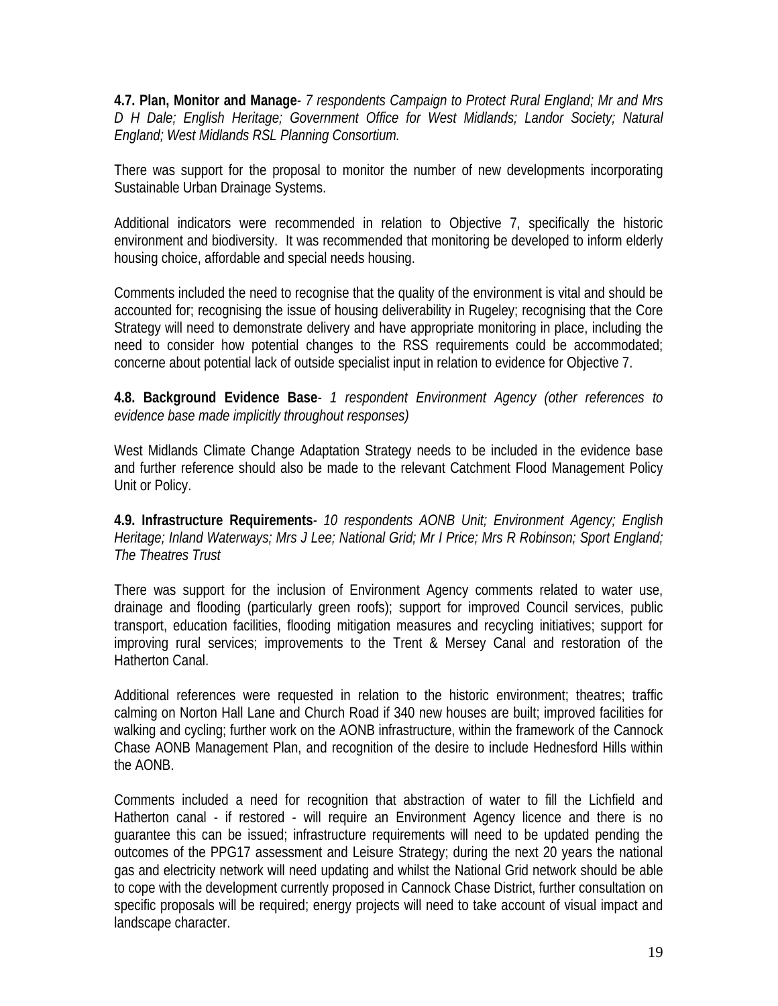**4.7. Plan, Monitor and Manage***- 7 respondents Campaign to Protect Rural England; Mr and Mrs D H Dale; English Heritage; Government Office for West Midlands; Landor Society; Natural England; West Midlands RSL Planning Consortium.*

There was support for the proposal to monitor the number of new developments incorporating Sustainable Urban Drainage Systems.

Additional indicators were recommended in relation to Objective 7, specifically the historic environment and biodiversity. It was recommended that monitoring be developed to inform elderly housing choice, affordable and special needs housing.

Comments included the need to recognise that the quality of the environment is vital and should be accounted for; recognising the issue of housing deliverability in Rugeley; recognising that the Core Strategy will need to demonstrate delivery and have appropriate monitoring in place, including the need to consider how potential changes to the RSS requirements could be accommodated; concerne about potential lack of outside specialist input in relation to evidence for Objective 7.

#### **4.8. Background Evidence Base***- 1 respondent Environment Agency (other references to evidence base made implicitly throughout responses)*

West Midlands Climate Change Adaptation Strategy needs to be included in the evidence base and further reference should also be made to the relevant Catchment Flood Management Policy Unit or Policy.

**4.9. Infrastructure Requirements***- 10 respondents AONB Unit; Environment Agency; English Heritage; Inland Waterways; Mrs J Lee; National Grid; Mr I Price; Mrs R Robinson; Sport England; The Theatres Trust*

There was support for the inclusion of Environment Agency comments related to water use, drainage and flooding (particularly green roofs); support for improved Council services, public transport, education facilities, flooding mitigation measures and recycling initiatives; support for improving rural services; improvements to the Trent & Mersey Canal and restoration of the Hatherton Canal.

Additional references were requested in relation to the historic environment; theatres; traffic calming on Norton Hall Lane and Church Road if 340 new houses are built; improved facilities for walking and cycling; further work on the AONB infrastructure, within the framework of the Cannock Chase AONB Management Plan, and recognition of the desire to include Hednesford Hills within the AONB.

Comments included a need for recognition that abstraction of water to fill the Lichfield and Hatherton canal - if restored - will require an Environment Agency licence and there is no guarantee this can be issued; infrastructure requirements will need to be updated pending the outcomes of the PPG17 assessment and Leisure Strategy; during the next 20 years the national gas and electricity network will need updating and whilst the National Grid network should be able to cope with the development currently proposed in Cannock Chase District, further consultation on specific proposals will be required; energy projects will need to take account of visual impact and landscape character.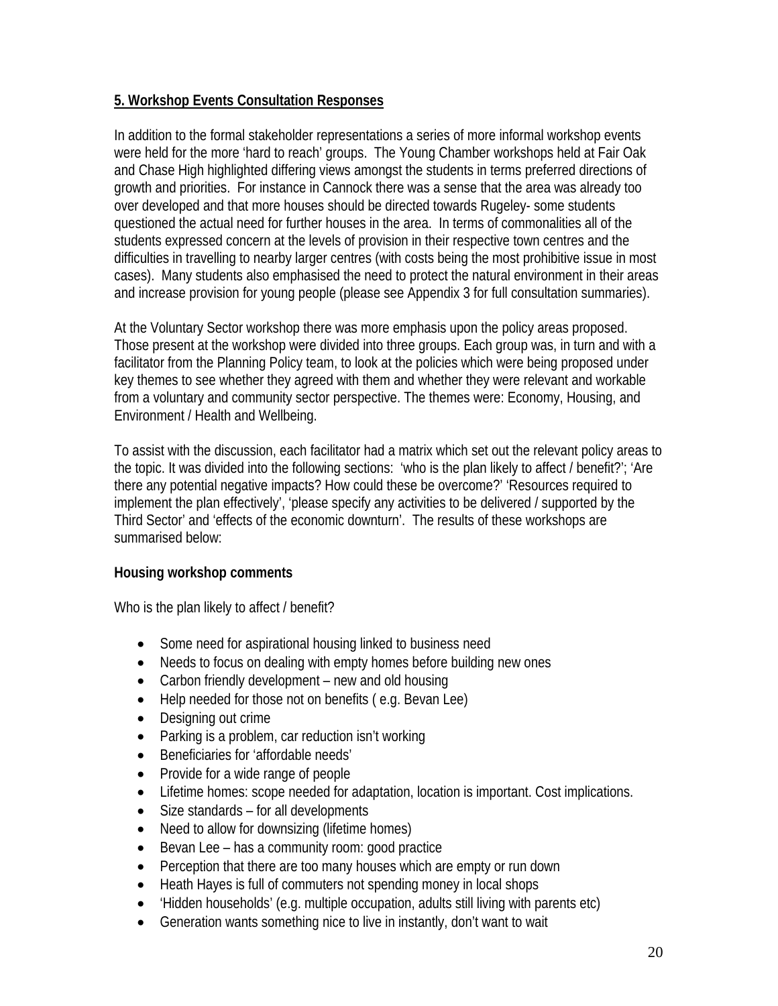## **5. Workshop Events Consultation Responses**

In addition to the formal stakeholder representations a series of more informal workshop events were held for the more 'hard to reach' groups. The Young Chamber workshops held at Fair Oak and Chase High highlighted differing views amongst the students in terms preferred directions of growth and priorities. For instance in Cannock there was a sense that the area was already too over developed and that more houses should be directed towards Rugeley- some students questioned the actual need for further houses in the area. In terms of commonalities all of the students expressed concern at the levels of provision in their respective town centres and the difficulties in travelling to nearby larger centres (with costs being the most prohibitive issue in most cases). Many students also emphasised the need to protect the natural environment in their areas and increase provision for young people (please see Appendix 3 for full consultation summaries).

At the Voluntary Sector workshop there was more emphasis upon the policy areas proposed. Those present at the workshop were divided into three groups. Each group was, in turn and with a facilitator from the Planning Policy team, to look at the policies which were being proposed under key themes to see whether they agreed with them and whether they were relevant and workable from a voluntary and community sector perspective. The themes were: Economy, Housing, and Environment / Health and Wellbeing.

To assist with the discussion, each facilitator had a matrix which set out the relevant policy areas to the topic. It was divided into the following sections: 'who is the plan likely to affect / benefit?'; 'Are there any potential negative impacts? How could these be overcome?' 'Resources required to implement the plan effectively', 'please specify any activities to be delivered / supported by the Third Sector' and 'effects of the economic downturn'. The results of these workshops are summarised below:

#### **Housing workshop comments**

Who is the plan likely to affect / benefit?

- Some need for aspirational housing linked to business need
- Needs to focus on dealing with empty homes before building new ones
- Carbon friendly development new and old housing
- Help needed for those not on benefits (e.g. Bevan Lee)
- Designing out crime
- Parking is a problem, car reduction isn't working
- Beneficiaries for 'affordable needs'
- Provide for a wide range of people
- Lifetime homes: scope needed for adaptation, location is important. Cost implications.
- Size standards for all developments
- Need to allow for downsizing (lifetime homes)
- Bevan Lee has a community room: good practice
- Perception that there are too many houses which are empty or run down
- Heath Hayes is full of commuters not spending money in local shops
- 'Hidden households' (e.g. multiple occupation, adults still living with parents etc)
- Generation wants something nice to live in instantly, don't want to wait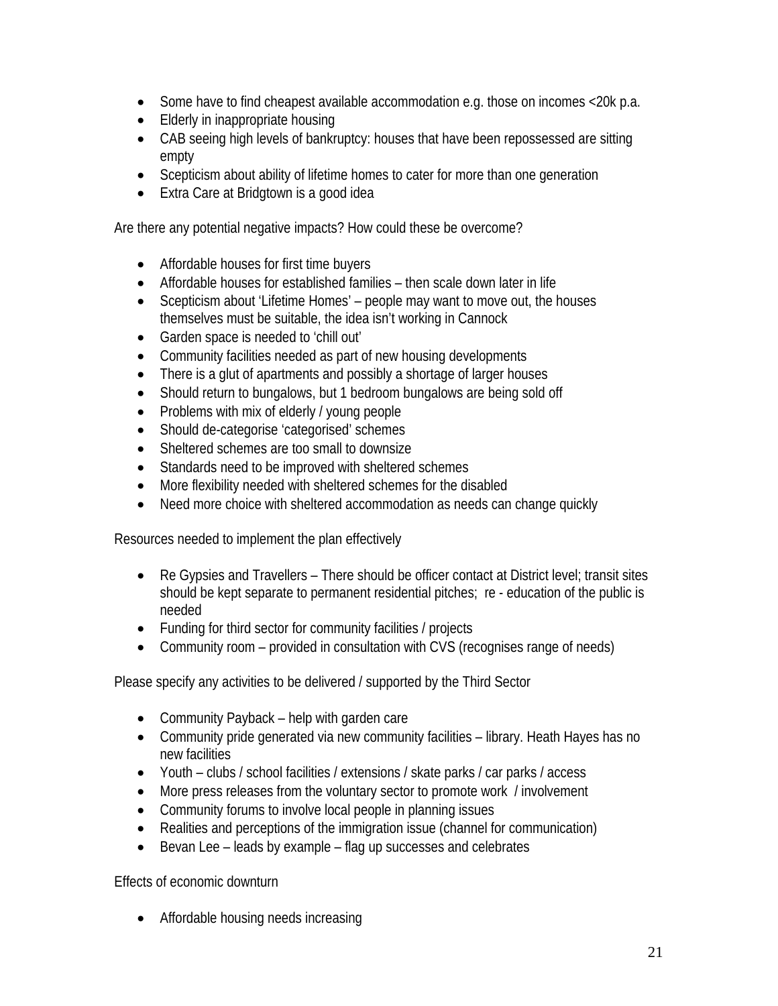- Some have to find cheapest available accommodation e.g. those on incomes <20k p.a.
- Elderly in inappropriate housing
- CAB seeing high levels of bankruptcy: houses that have been repossessed are sitting empty
- Scepticism about ability of lifetime homes to cater for more than one generation
- Extra Care at Bridgtown is a good idea

Are there any potential negative impacts? How could these be overcome?

- Affordable houses for first time buyers
- Affordable houses for established families then scale down later in life
- Scepticism about 'Lifetime Homes' people may want to move out, the houses themselves must be suitable, the idea isn't working in Cannock
- Garden space is needed to 'chill out'
- Community facilities needed as part of new housing developments
- There is a glut of apartments and possibly a shortage of larger houses
- Should return to bungalows, but 1 bedroom bungalows are being sold off
- Problems with mix of elderly / young people
- Should de-categorise 'categorised' schemes
- Sheltered schemes are too small to downsize
- Standards need to be improved with sheltered schemes
- More flexibility needed with sheltered schemes for the disabled
- Need more choice with sheltered accommodation as needs can change quickly

Resources needed to implement the plan effectively

- Re Gypsies and Travellers There should be officer contact at District level; transit sites should be kept separate to permanent residential pitches; re - education of the public is needed
- Funding for third sector for community facilities / projects
- Community room provided in consultation with CVS (recognises range of needs)

Please specify any activities to be delivered / supported by the Third Sector

- Community Payback help with garden care
- Community pride generated via new community facilities library. Heath Hayes has no new facilities
- Youth clubs / school facilities / extensions / skate parks / car parks / access
- More press releases from the voluntary sector to promote work / involvement
- Community forums to involve local people in planning issues
- Realities and perceptions of the immigration issue (channel for communication)
- Bevan Lee leads by example flag up successes and celebrates

Effects of economic downturn

• Affordable housing needs increasing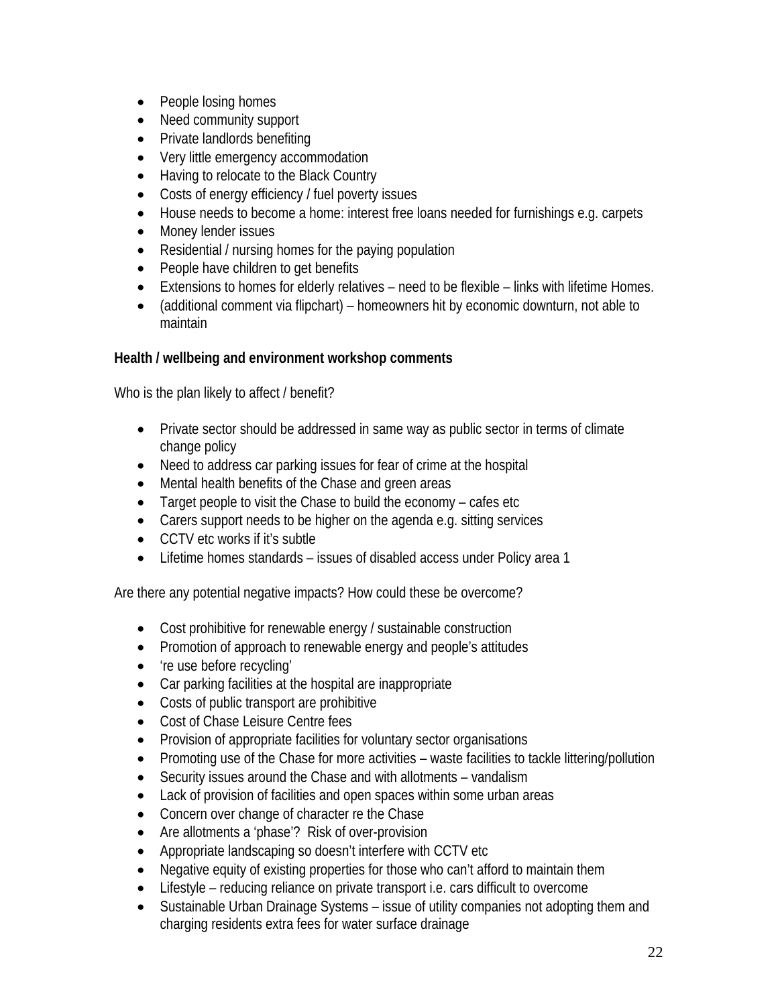- People losing homes
- Need community support
- Private landlords benefiting
- Very little emergency accommodation
- Having to relocate to the Black Country
- Costs of energy efficiency / fuel poverty issues
- House needs to become a home: interest free loans needed for furnishings e.g. carpets
- Money lender issues
- Residential / nursing homes for the paying population
- People have children to get benefits
- Extensions to homes for elderly relatives need to be flexible links with lifetime Homes.
- (additional comment via flipchart) homeowners hit by economic downturn, not able to maintain

## **Health / wellbeing and environment workshop comments**

Who is the plan likely to affect / benefit?

- Private sector should be addressed in same way as public sector in terms of climate change policy
- Need to address car parking issues for fear of crime at the hospital
- Mental health benefits of the Chase and green areas
- Target people to visit the Chase to build the economy cafes etc
- Carers support needs to be higher on the agenda e.g. sitting services
- CCTV etc works if it's subtle
- Lifetime homes standards issues of disabled access under Policy area 1

Are there any potential negative impacts? How could these be overcome?

- Cost prohibitive for renewable energy / sustainable construction
- Promotion of approach to renewable energy and people's attitudes
- 're use before recycling'
- Car parking facilities at the hospital are inappropriate
- Costs of public transport are prohibitive
- Cost of Chase Leisure Centre fees
- Provision of appropriate facilities for voluntary sector organisations
- Promoting use of the Chase for more activities waste facilities to tackle littering/pollution
- Security issues around the Chase and with allotments vandalism
- Lack of provision of facilities and open spaces within some urban areas
- Concern over change of character re the Chase
- Are allotments a 'phase'? Risk of over-provision
- Appropriate landscaping so doesn't interfere with CCTV etc
- Negative equity of existing properties for those who can't afford to maintain them
- Lifestyle reducing reliance on private transport i.e. cars difficult to overcome
- Sustainable Urban Drainage Systems issue of utility companies not adopting them and charging residents extra fees for water surface drainage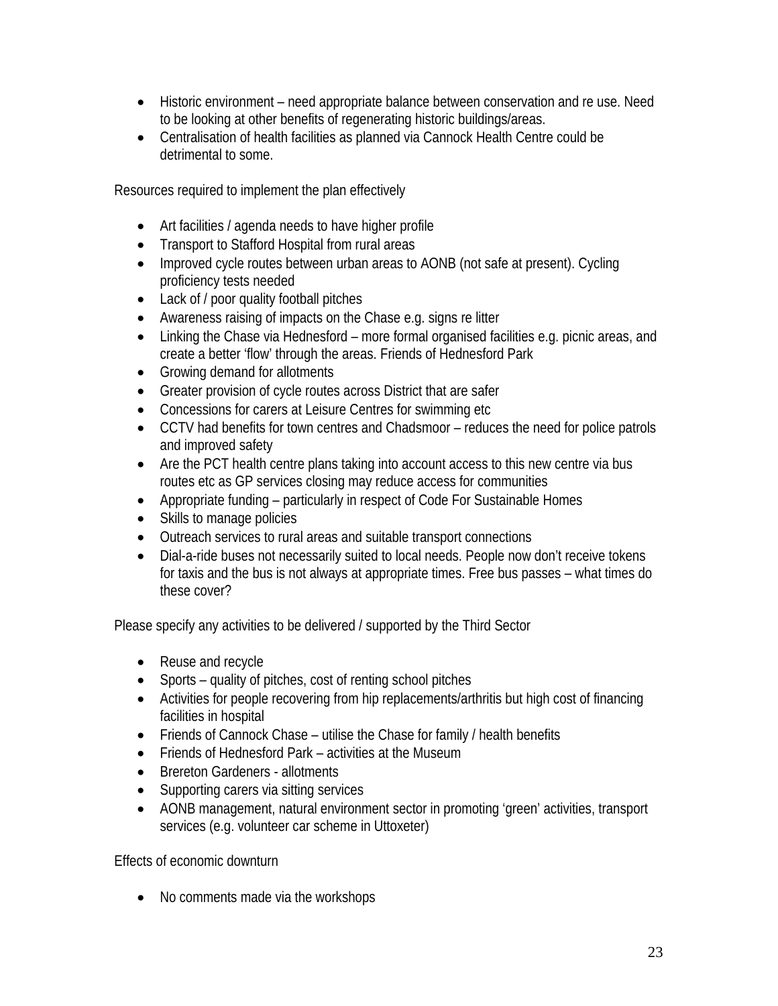- Historic environment need appropriate balance between conservation and re use. Need to be looking at other benefits of regenerating historic buildings/areas.
- Centralisation of health facilities as planned via Cannock Health Centre could be detrimental to some.

Resources required to implement the plan effectively

- Art facilities / agenda needs to have higher profile
- Transport to Stafford Hospital from rural areas
- Improved cycle routes between urban areas to AONB (not safe at present). Cycling proficiency tests needed
- Lack of / poor quality football pitches
- Awareness raising of impacts on the Chase e.g. signs re litter
- Linking the Chase via Hednesford more formal organised facilities e.g. picnic areas, and create a better 'flow' through the areas. Friends of Hednesford Park
- Growing demand for allotments
- Greater provision of cycle routes across District that are safer
- Concessions for carers at Leisure Centres for swimming etc
- CCTV had benefits for town centres and Chadsmoor reduces the need for police patrols and improved safety
- Are the PCT health centre plans taking into account access to this new centre via bus routes etc as GP services closing may reduce access for communities
- Appropriate funding particularly in respect of Code For Sustainable Homes
- Skills to manage policies
- Outreach services to rural areas and suitable transport connections
- Dial-a-ride buses not necessarily suited to local needs. People now don't receive tokens for taxis and the bus is not always at appropriate times. Free bus passes – what times do these cover?

Please specify any activities to be delivered / supported by the Third Sector

- Reuse and recycle
- Sports quality of pitches, cost of renting school pitches
- Activities for people recovering from hip replacements/arthritis but high cost of financing facilities in hospital
- Friends of Cannock Chase utilise the Chase for family / health benefits
- Friends of Hednesford Park activities at the Museum
- Brereton Gardeners allotments
- Supporting carers via sitting services
- AONB management, natural environment sector in promoting 'green' activities, transport services (e.g. volunteer car scheme in Uttoxeter)

Effects of economic downturn

• No comments made via the workshops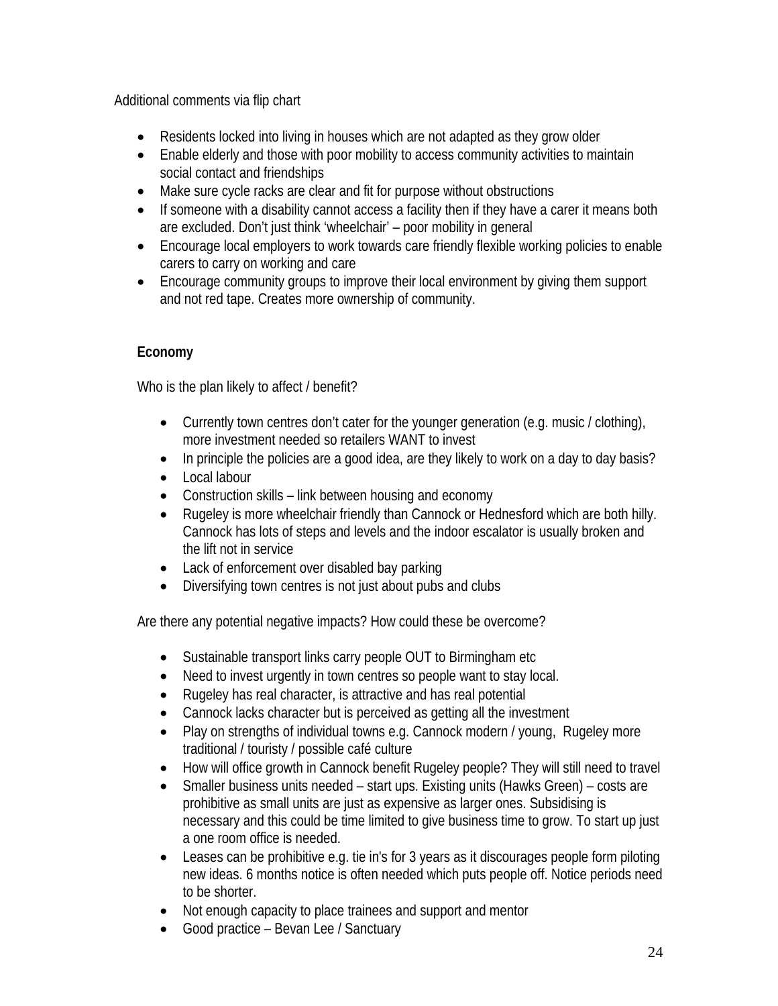Additional comments via flip chart

- Residents locked into living in houses which are not adapted as they grow older
- Enable elderly and those with poor mobility to access community activities to maintain social contact and friendships
- Make sure cycle racks are clear and fit for purpose without obstructions
- If someone with a disability cannot access a facility then if they have a carer it means both are excluded. Don't just think 'wheelchair' – poor mobility in general
- Encourage local employers to work towards care friendly flexible working policies to enable carers to carry on working and care
- Encourage community groups to improve their local environment by giving them support and not red tape. Creates more ownership of community.

## **Economy**

Who is the plan likely to affect / benefit?

- Currently town centres don't cater for the younger generation (e.g. music / clothing), more investment needed so retailers WANT to invest
- In principle the policies are a good idea, are they likely to work on a day to day basis?
- Local labour
- Construction skills link between housing and economy
- Rugeley is more wheelchair friendly than Cannock or Hednesford which are both hilly. Cannock has lots of steps and levels and the indoor escalator is usually broken and the lift not in service
- Lack of enforcement over disabled bay parking
- Diversifying town centres is not just about pubs and clubs

Are there any potential negative impacts? How could these be overcome?

- Sustainable transport links carry people OUT to Birmingham etc
- Need to invest urgently in town centres so people want to stay local.
- Rugeley has real character, is attractive and has real potential
- Cannock lacks character but is perceived as getting all the investment
- Play on strengths of individual towns e.g. Cannock modern / young, Rugeley more traditional / touristy / possible café culture
- How will office growth in Cannock benefit Rugeley people? They will still need to travel
- Smaller business units needed start ups. Existing units (Hawks Green) costs are prohibitive as small units are just as expensive as larger ones. Subsidising is necessary and this could be time limited to give business time to grow. To start up just a one room office is needed.
- Leases can be prohibitive e.g. tie in's for 3 years as it discourages people form piloting new ideas. 6 months notice is often needed which puts people off. Notice periods need to be shorter.
- Not enough capacity to place trainees and support and mentor
- Good practice Bevan Lee / Sanctuary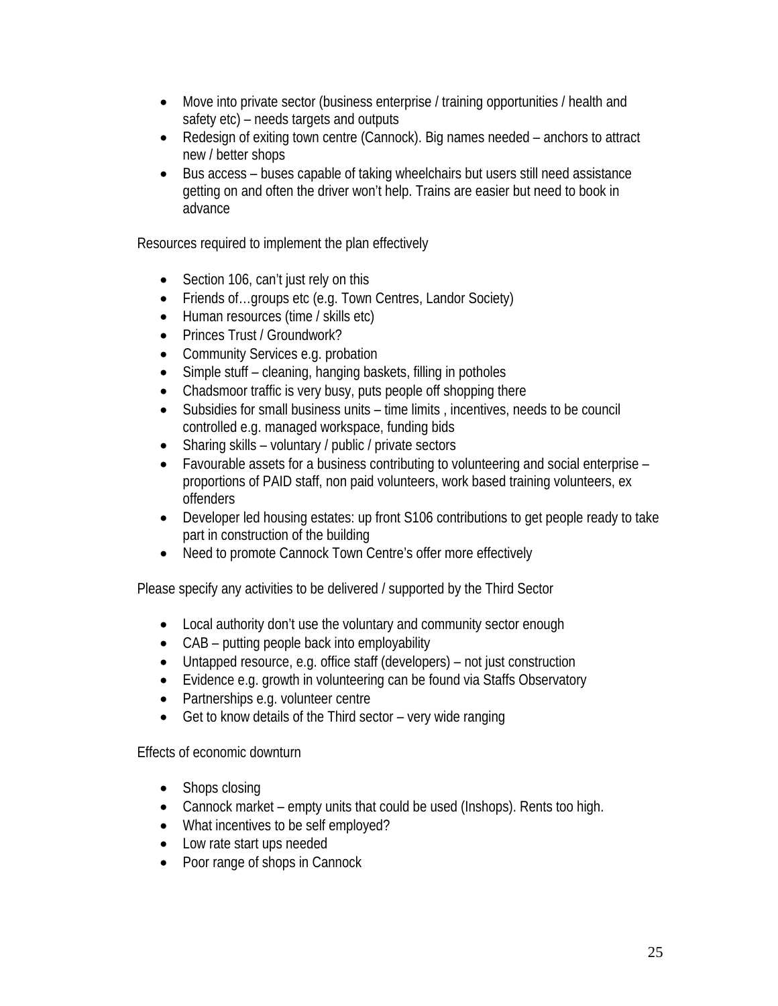- Move into private sector (business enterprise / training opportunities / health and safety etc) – needs targets and outputs
- Redesign of exiting town centre (Cannock). Big names needed anchors to attract new / better shops
- Bus access buses capable of taking wheelchairs but users still need assistance getting on and often the driver won't help. Trains are easier but need to book in advance

Resources required to implement the plan effectively

- Section 106, can't just rely on this
- Friends of…groups etc (e.g. Town Centres, Landor Society)
- Human resources (time / skills etc)
- Princes Trust / Groundwork?
- Community Services e.g. probation
- Simple stuff cleaning, hanging baskets, filling in potholes
- Chadsmoor traffic is very busy, puts people off shopping there
- Subsidies for small business units time limits , incentives, needs to be council controlled e.g. managed workspace, funding bids
- Sharing skills voluntary / public / private sectors
- Favourable assets for a business contributing to volunteering and social enterprise proportions of PAID staff, non paid volunteers, work based training volunteers, ex offenders
- Developer led housing estates: up front S106 contributions to get people ready to take part in construction of the building
- Need to promote Cannock Town Centre's offer more effectively

Please specify any activities to be delivered / supported by the Third Sector

- Local authority don't use the voluntary and community sector enough
- CAB putting people back into employability
- Untapped resource, e.g. office staff (developers) not just construction
- Evidence e.g. growth in volunteering can be found via Staffs Observatory
- Partnerships e.g. volunteer centre
- Get to know details of the Third sector very wide ranging

Effects of economic downturn

- Shops closing
- Cannock market empty units that could be used (Inshops). Rents too high.
- What incentives to be self employed?
- Low rate start ups needed
- Poor range of shops in Cannock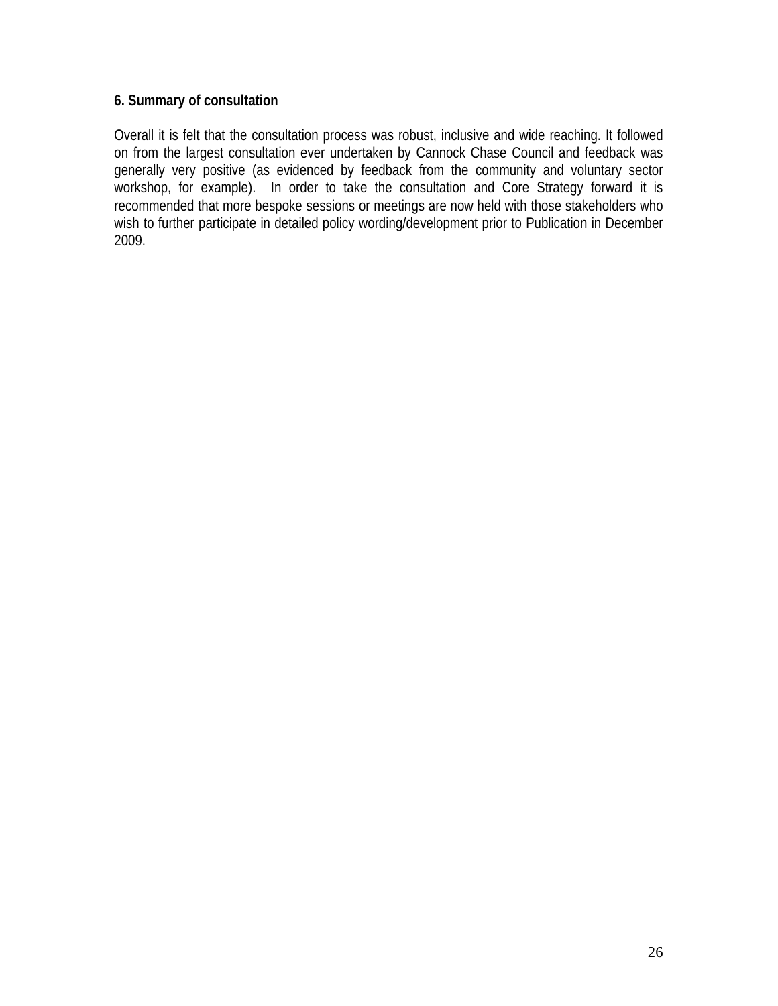## **6. Summary of consultation**

Overall it is felt that the consultation process was robust, inclusive and wide reaching. It followed on from the largest consultation ever undertaken by Cannock Chase Council and feedback was generally very positive (as evidenced by feedback from the community and voluntary sector workshop, for example). In order to take the consultation and Core Strategy forward it is recommended that more bespoke sessions or meetings are now held with those stakeholders who wish to further participate in detailed policy wording/development prior to Publication in December 2009.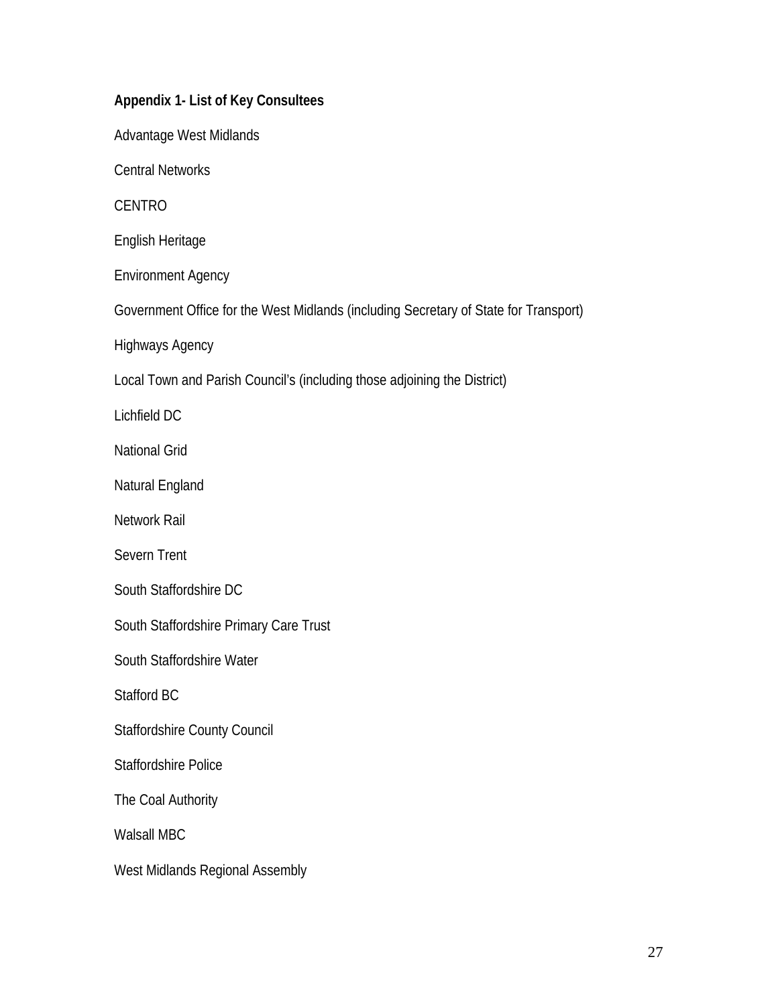| Appendix 1- List of Key Consultees                                                   |
|--------------------------------------------------------------------------------------|
| Advantage West Midlands                                                              |
| <b>Central Networks</b>                                                              |
| <b>CENTRO</b>                                                                        |
| English Heritage                                                                     |
| <b>Environment Agency</b>                                                            |
| Government Office for the West Midlands (including Secretary of State for Transport) |
| <b>Highways Agency</b>                                                               |
| Local Town and Parish Council's (including those adjoining the District)             |
| Lichfield DC                                                                         |
| <b>National Grid</b>                                                                 |
| Natural England                                                                      |
| Network Rail                                                                         |
| Severn Trent                                                                         |
| South Staffordshire DC                                                               |
| South Staffordshire Primary Care Trust                                               |
| South Staffordshire Water                                                            |
| Stafford BC                                                                          |
| <b>Staffordshire County Council</b>                                                  |
| <b>Staffordshire Police</b>                                                          |
| The Coal Authority                                                                   |
| <b>Walsall MBC</b>                                                                   |
| West Midlands Regional Assembly                                                      |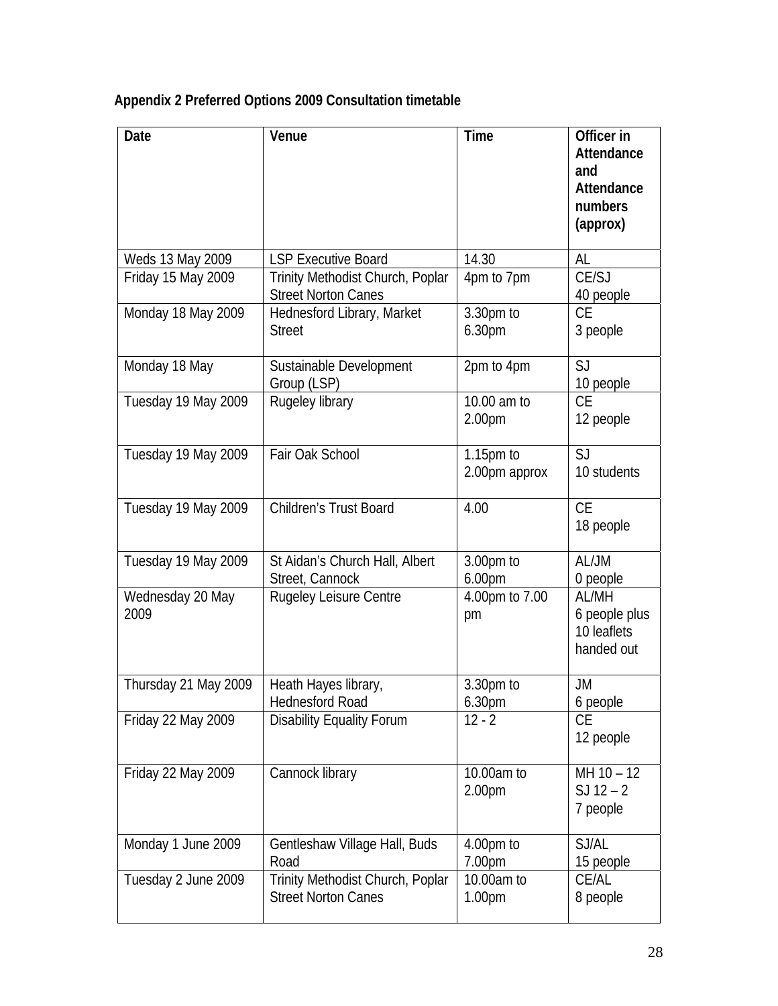## **Appendix 2 Preferred Options 2009 Consultation timetable**

| <b>Date</b>              | Venue                                                          | <b>Time</b>                      | Officer in<br>Attendance<br>and<br>Attendance<br>numbers<br>(approx) |
|--------------------------|----------------------------------------------------------------|----------------------------------|----------------------------------------------------------------------|
| Weds 13 May 2009         | <b>LSP Executive Board</b>                                     | 14.30                            | AL                                                                   |
| Friday 15 May 2009       | Trinity Methodist Church, Poplar<br><b>Street Norton Canes</b> | 4pm to 7pm                       | CE/SJ<br>40 people                                                   |
| Monday 18 May 2009       | Hednesford Library, Market<br><b>Street</b>                    | 3.30pm to<br>6.30pm              | <b>CE</b><br>3 people                                                |
| Monday 18 May            | Sustainable Development<br>Group (LSP)                         | 2pm to 4pm                       | SJ<br>10 people                                                      |
| Tuesday 19 May 2009      | Rugeley library                                                | 10.00 am to<br>2.00pm            | <b>CE</b><br>12 people                                               |
| Tuesday 19 May 2009      | Fair Oak School                                                | $1.15pm$ to<br>2.00pm approx     | SJ<br>10 students                                                    |
| Tuesday 19 May 2009      | Children's Trust Board                                         | 4.00                             | <b>CE</b><br>18 people                                               |
| Tuesday 19 May 2009      | St Aidan's Church Hall, Albert<br>Street, Cannock              | 3.00pm to<br>6.00pm              | AL/JM<br>0 people                                                    |
| Wednesday 20 May<br>2009 | Rugeley Leisure Centre                                         | 4.00pm to 7.00<br>pm             | AL/MH<br>6 people plus<br>10 leaflets<br>handed out                  |
| Thursday 21 May 2009     | Heath Hayes library,<br><b>Hednesford Road</b>                 | 3.30pm to<br>6.30pm              | <b>JM</b><br>6 people                                                |
| Friday 22 May 2009       | <b>Disability Equality Forum</b>                               | $12 - 2$                         | <b>CE</b><br>12 people                                               |
| Friday 22 May 2009       | Cannock library                                                | 10.00am to<br>2.00 <sub>pm</sub> | $MH 10 - 12$<br>$SJ 12 - 2$<br>7 people                              |
| Monday 1 June 2009       | Gentleshaw Village Hall, Buds<br>Road                          | 4.00pm to<br>7.00pm              | SJ/AL<br>15 people                                                   |
| Tuesday 2 June 2009      | Trinity Methodist Church, Poplar<br><b>Street Norton Canes</b> | 10.00am to<br>1.00 <sub>pm</sub> | CE/AL<br>8 people                                                    |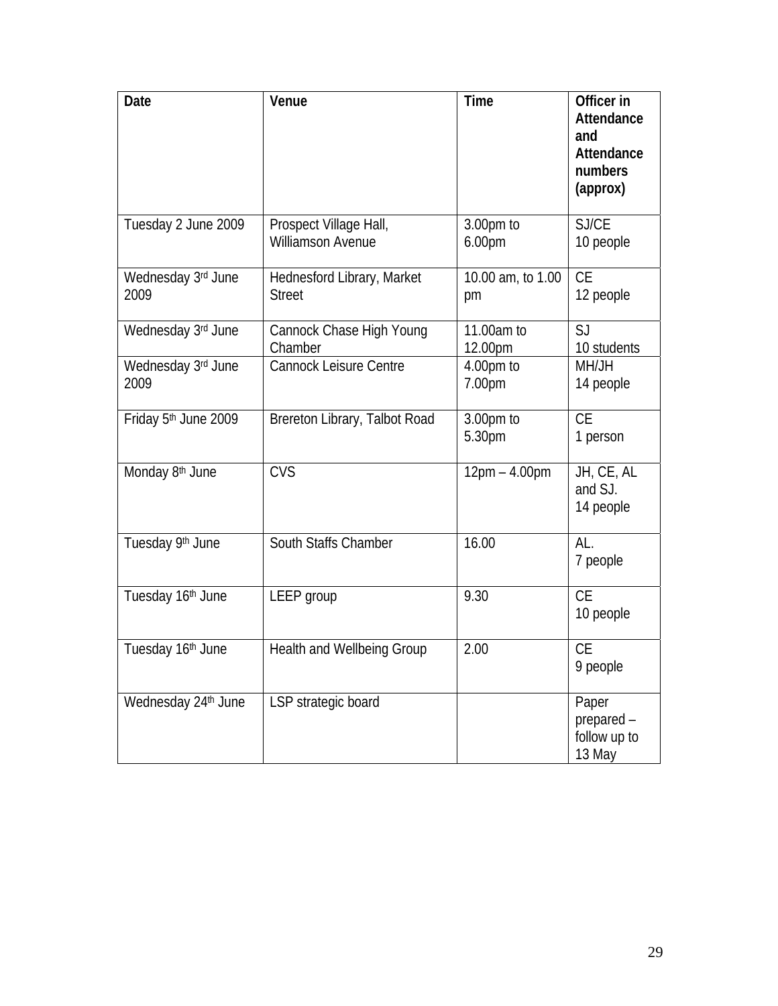| Date                       | Venue                                              | <b>Time</b>                     | Officer in<br>Attendance<br>and<br>Attendance<br>numbers<br>(approx) |
|----------------------------|----------------------------------------------------|---------------------------------|----------------------------------------------------------------------|
| Tuesday 2 June 2009        | Prospect Village Hall,<br><b>Williamson Avenue</b> | 3.00pm to<br>6.00 <sub>pm</sub> | SJ/CE<br>10 people                                                   |
| Wednesday 3rd June<br>2009 | Hednesford Library, Market<br><b>Street</b>        | 10.00 am, to 1.00<br>pm         | <b>CE</b><br>12 people                                               |
| Wednesday 3rd June         | Cannock Chase High Young<br>Chamber                | 11.00am to<br>12.00pm           | SJ<br>10 students                                                    |
| Wednesday 3rd June<br>2009 | Cannock Leisure Centre                             | 4.00pm to<br>7.00pm             | MH/JH<br>14 people                                                   |
| Friday 5th June 2009       | Brereton Library, Talbot Road                      | 3.00pm to<br>5.30pm             | <b>CE</b><br>1 person                                                |
| Monday 8th June            | <b>CVS</b>                                         | $12pm - 4.00pm$                 | JH, CE, AL<br>and SJ.<br>14 people                                   |
| Tuesday 9th June           | South Staffs Chamber                               | 16.00                           | AL.<br>7 people                                                      |
| Tuesday 16th June          | LEEP group                                         | 9.30                            | <b>CE</b><br>10 people                                               |
| Tuesday 16th June          | <b>Health and Wellbeing Group</b>                  | 2.00                            | <b>CE</b><br>9 people                                                |
| Wednesday 24th June        | LSP strategic board                                |                                 | Paper<br>prepared -<br>follow up to<br>13 May                        |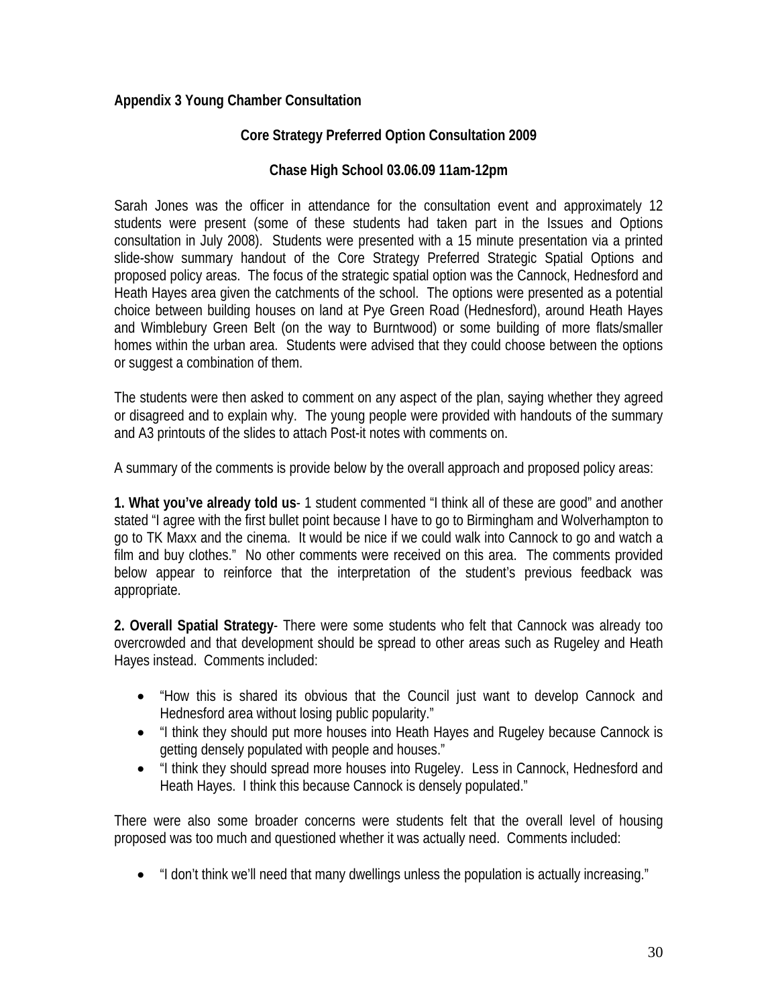## **Appendix 3 Young Chamber Consultation**

## **Core Strategy Preferred Option Consultation 2009**

#### **Chase High School 03.06.09 11am-12pm**

Sarah Jones was the officer in attendance for the consultation event and approximately 12 students were present (some of these students had taken part in the Issues and Options consultation in July 2008). Students were presented with a 15 minute presentation via a printed slide-show summary handout of the Core Strategy Preferred Strategic Spatial Options and proposed policy areas. The focus of the strategic spatial option was the Cannock, Hednesford and Heath Hayes area given the catchments of the school. The options were presented as a potential choice between building houses on land at Pye Green Road (Hednesford), around Heath Hayes and Wimblebury Green Belt (on the way to Burntwood) or some building of more flats/smaller homes within the urban area. Students were advised that they could choose between the options or suggest a combination of them.

The students were then asked to comment on any aspect of the plan, saying whether they agreed or disagreed and to explain why. The young people were provided with handouts of the summary and A3 printouts of the slides to attach Post-it notes with comments on.

A summary of the comments is provide below by the overall approach and proposed policy areas:

**1. What you've already told us**- 1 student commented "I think all of these are good" and another stated "I agree with the first bullet point because I have to go to Birmingham and Wolverhampton to go to TK Maxx and the cinema. It would be nice if we could walk into Cannock to go and watch a film and buy clothes." No other comments were received on this area. The comments provided below appear to reinforce that the interpretation of the student's previous feedback was appropriate.

**2. Overall Spatial Strategy**- There were some students who felt that Cannock was already too overcrowded and that development should be spread to other areas such as Rugeley and Heath Hayes instead. Comments included:

- "How this is shared its obvious that the Council just want to develop Cannock and Hednesford area without losing public popularity."
- "I think they should put more houses into Heath Hayes and Rugeley because Cannock is getting densely populated with people and houses."
- "I think they should spread more houses into Rugeley. Less in Cannock, Hednesford and Heath Hayes. I think this because Cannock is densely populated."

There were also some broader concerns were students felt that the overall level of housing proposed was too much and questioned whether it was actually need. Comments included:

• "I don't think we'll need that many dwellings unless the population is actually increasing."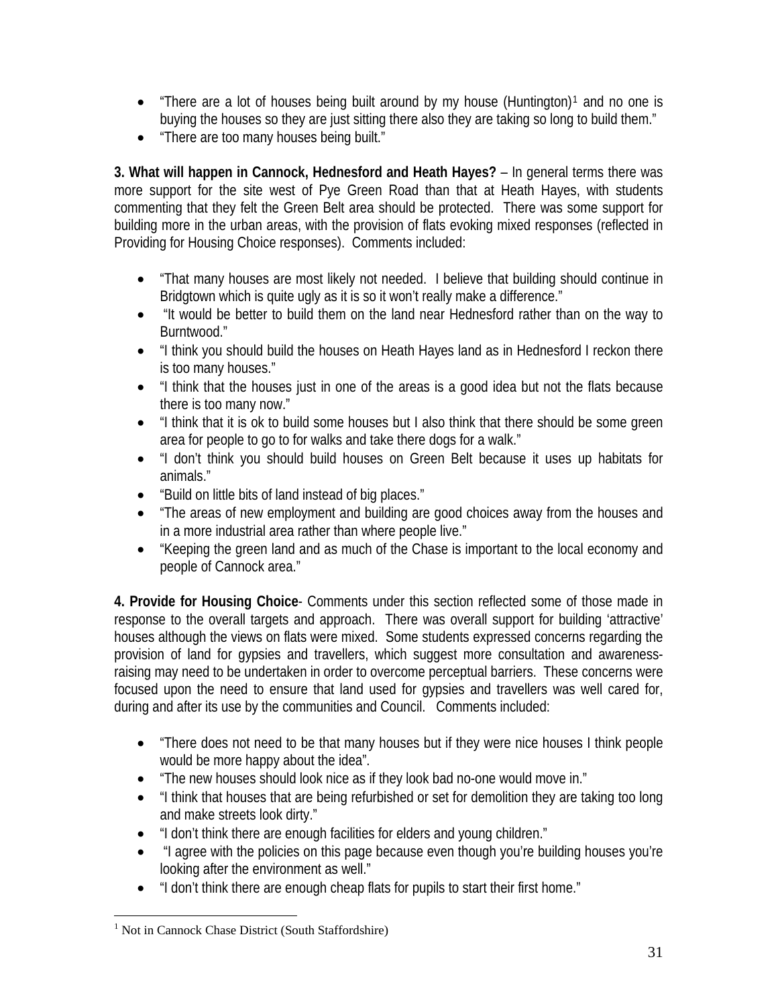- "There are a lot of houses being built around by my house (Huntington)<sup>[1](#page-39-0)</sup> and no one is buying the houses so they are just sitting there also they are taking so long to build them."
- "There are too many houses being built."

**3. What will happen in Cannock, Hednesford and Heath Hayes?** – In general terms there was more support for the site west of Pye Green Road than that at Heath Hayes, with students commenting that they felt the Green Belt area should be protected. There was some support for building more in the urban areas, with the provision of flats evoking mixed responses (reflected in Providing for Housing Choice responses). Comments included:

- "That many houses are most likely not needed. I believe that building should continue in Bridgtown which is quite ugly as it is so it won't really make a difference."
- "It would be better to build them on the land near Hednesford rather than on the way to Burntwood."
- "I think you should build the houses on Heath Hayes land as in Hednesford I reckon there is too many houses."
- "I think that the houses just in one of the areas is a good idea but not the flats because there is too many now."
- "I think that it is ok to build some houses but I also think that there should be some green area for people to go to for walks and take there dogs for a walk."
- "I don't think you should build houses on Green Belt because it uses up habitats for animals."
- "Build on little bits of land instead of big places."
- "The areas of new employment and building are good choices away from the houses and in a more industrial area rather than where people live."
- "Keeping the green land and as much of the Chase is important to the local economy and people of Cannock area."

**4. Provide for Housing Choice**- Comments under this section reflected some of those made in response to the overall targets and approach. There was overall support for building 'attractive' houses although the views on flats were mixed. Some students expressed concerns regarding the provision of land for gypsies and travellers, which suggest more consultation and awarenessraising may need to be undertaken in order to overcome perceptual barriers. These concerns were focused upon the need to ensure that land used for gypsies and travellers was well cared for, during and after its use by the communities and Council. Comments included:

- "There does not need to be that many houses but if they were nice houses I think people would be more happy about the idea".
- "The new houses should look nice as if they look bad no-one would move in."
- "I think that houses that are being refurbished or set for demolition they are taking too long and make streets look dirty."
- "I don't think there are enough facilities for elders and young children."
- "I agree with the policies on this page because even though you're building houses you're looking after the environment as well."
- "I don't think there are enough cheap flats for pupils to start their first home."

<span id="page-39-0"></span> $\overline{a}$ <sup>1</sup> Not in Cannock Chase District (South Staffordshire)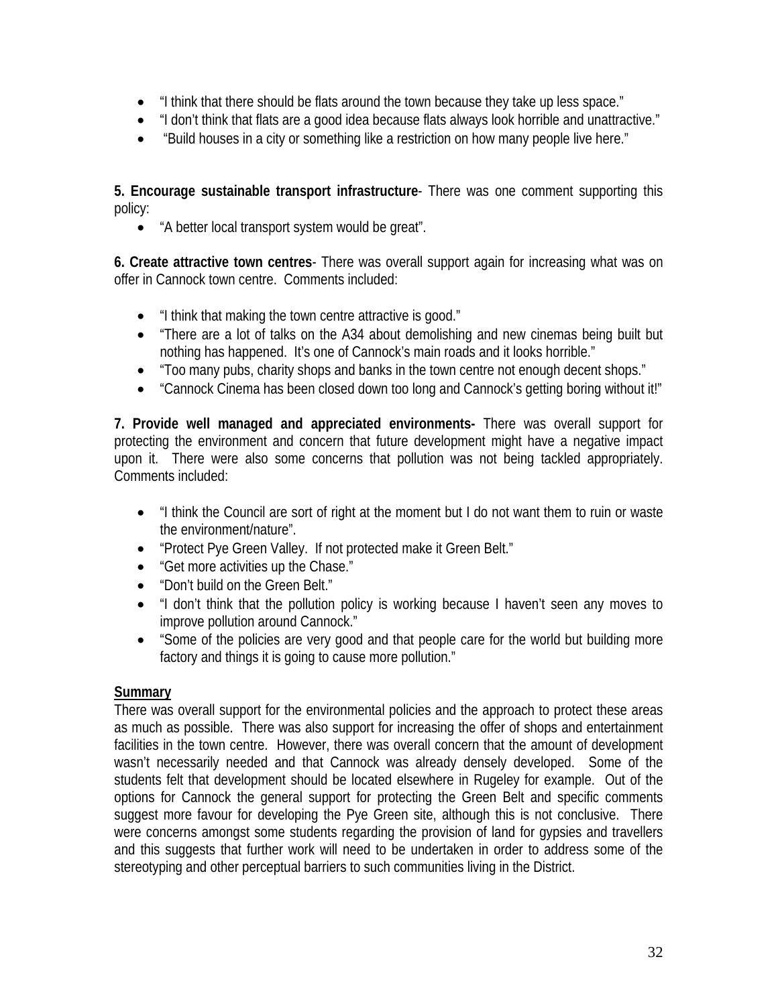- "I think that there should be flats around the town because they take up less space."
- "I don't think that flats are a good idea because flats always look horrible and unattractive."
- "Build houses in a city or something like a restriction on how many people live here."

**5. Encourage sustainable transport infrastructure**- There was one comment supporting this policy:

• "A better local transport system would be great".

**6. Create attractive town centres**- There was overall support again for increasing what was on offer in Cannock town centre. Comments included:

- "I think that making the town centre attractive is good."
- "There are a lot of talks on the A34 about demolishing and new cinemas being built but nothing has happened. It's one of Cannock's main roads and it looks horrible."
- "Too many pubs, charity shops and banks in the town centre not enough decent shops."
- "Cannock Cinema has been closed down too long and Cannock's getting boring without it!"

**7. Provide well managed and appreciated environments-** There was overall support for protecting the environment and concern that future development might have a negative impact upon it. There were also some concerns that pollution was not being tackled appropriately. Comments included:

- "I think the Council are sort of right at the moment but I do not want them to ruin or waste the environment/nature".
- "Protect Pye Green Valley. If not protected make it Green Belt."
- "Get more activities up the Chase."
- "Don't build on the Green Belt."
- "I don't think that the pollution policy is working because I haven't seen any moves to improve pollution around Cannock."
- "Some of the policies are very good and that people care for the world but building more factory and things it is going to cause more pollution."

#### **Summary**

There was overall support for the environmental policies and the approach to protect these areas as much as possible. There was also support for increasing the offer of shops and entertainment facilities in the town centre. However, there was overall concern that the amount of development wasn't necessarily needed and that Cannock was already densely developed. Some of the students felt that development should be located elsewhere in Rugeley for example. Out of the options for Cannock the general support for protecting the Green Belt and specific comments suggest more favour for developing the Pye Green site, although this is not conclusive. There were concerns amongst some students regarding the provision of land for gypsies and travellers and this suggests that further work will need to be undertaken in order to address some of the stereotyping and other perceptual barriers to such communities living in the District.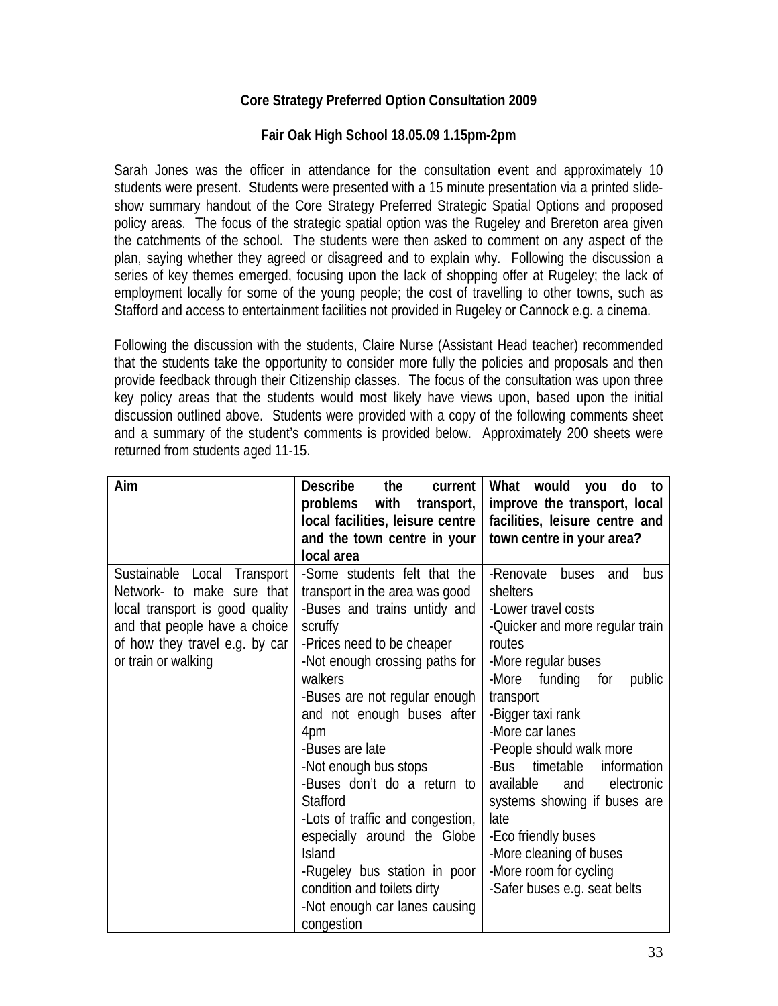## **Core Strategy Preferred Option Consultation 2009**

#### **Fair Oak High School 18.05.09 1.15pm-2pm**

Sarah Jones was the officer in attendance for the consultation event and approximately 10 students were present. Students were presented with a 15 minute presentation via a printed slideshow summary handout of the Core Strategy Preferred Strategic Spatial Options and proposed policy areas. The focus of the strategic spatial option was the Rugeley and Brereton area given the catchments of the school. The students were then asked to comment on any aspect of the plan, saying whether they agreed or disagreed and to explain why. Following the discussion a series of key themes emerged, focusing upon the lack of shopping offer at Rugeley; the lack of employment locally for some of the young people; the cost of travelling to other towns, such as Stafford and access to entertainment facilities not provided in Rugeley or Cannock e.g. a cinema.

Following the discussion with the students, Claire Nurse (Assistant Head teacher) recommended that the students take the opportunity to consider more fully the policies and proposals and then provide feedback through their Citizenship classes. The focus of the consultation was upon three key policy areas that the students would most likely have views upon, based upon the initial discussion outlined above. Students were provided with a copy of the following comments sheet and a summary of the student's comments is provided below. Approximately 200 sheets were returned from students aged 11-15.

| Aim                                                                                                                       | <b>Describe</b><br>the<br>current<br>problems with<br>transport,<br>local facilities, leisure centre<br>and the town centre in your                        | What would you do to<br>improve the transport, local<br>facilities, leisure centre and<br>town centre in your area?                    |
|---------------------------------------------------------------------------------------------------------------------------|------------------------------------------------------------------------------------------------------------------------------------------------------------|----------------------------------------------------------------------------------------------------------------------------------------|
| Sustainable Local Transport<br>Network- to make sure that                                                                 | local area<br>-Some students felt that the<br>transport in the area was good<br>-Buses and trains untidy and                                               | -Renovate<br>buses<br>and<br>bus<br>shelters<br>-Lower travel costs                                                                    |
| local transport is good quality<br>and that people have a choice<br>of how they travel e.g. by car<br>or train or walking | scruffy<br>-Prices need to be cheaper                                                                                                                      | -Quicker and more regular train<br>routes                                                                                              |
|                                                                                                                           | -Not enough crossing paths for<br>walkers<br>-Buses are not regular enough<br>and not enough buses after<br>4pm                                            | -More regular buses<br>-More funding<br>for<br>public<br>transport<br>-Bigger taxi rank<br>-More car lanes                             |
|                                                                                                                           | -Buses are late<br>-Not enough bus stops<br>-Buses don't do a return to<br>Stafford<br>-Lots of traffic and congestion,                                    | -People should walk more<br>-Bus<br>timetable<br>information<br>available<br>electronic<br>and<br>systems showing if buses are<br>late |
|                                                                                                                           | especially around the Globe<br><b>Island</b><br>-Rugeley bus station in poor<br>condition and toilets dirty<br>-Not enough car lanes causing<br>congestion | -Eco friendly buses<br>-More cleaning of buses<br>-More room for cycling<br>-Safer buses e.g. seat belts                               |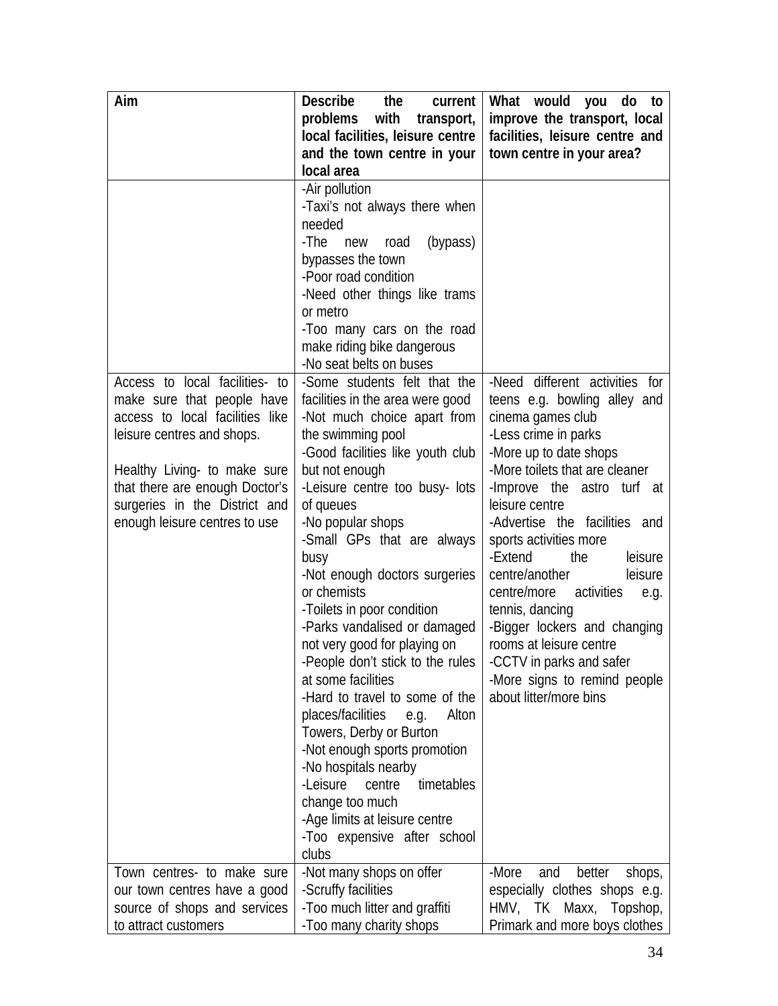| Aim                             | <b>Describe</b><br>the<br>current  | What would you do to              |
|---------------------------------|------------------------------------|-----------------------------------|
|                                 | problems with transport,           | improve the transport, local      |
|                                 | local facilities, leisure centre   | facilities, leisure centre and    |
|                                 | and the town centre in your        | town centre in your area?         |
|                                 | local area                         |                                   |
|                                 | -Air pollution                     |                                   |
|                                 | -Taxi's not always there when      |                                   |
|                                 | needed                             |                                   |
|                                 | -The<br>(bypass)<br>new road       |                                   |
|                                 | bypasses the town                  |                                   |
|                                 | -Poor road condition               |                                   |
|                                 | -Need other things like trams      |                                   |
|                                 | or metro                           |                                   |
|                                 | -Too many cars on the road         |                                   |
|                                 | make riding bike dangerous         |                                   |
|                                 | -No seat belts on buses            |                                   |
| Access to local facilities- to  | -Some students felt that the       | -Need different activities for    |
| make sure that people have      | facilities in the area were good   | teens e.g. bowling alley and      |
| access to local facilities like | -Not much choice apart from        | cinema games club                 |
| leisure centres and shops.      | the swimming pool                  | -Less crime in parks              |
|                                 | -Good facilities like youth club   | -More up to date shops            |
| Healthy Living- to make sure    | but not enough                     | -More toilets that are cleaner    |
| that there are enough Doctor's  | -Leisure centre too busy- lots     | -Improve the astro turf at        |
| surgeries in the District and   | of queues                          | leisure centre                    |
| enough leisure centres to use   | -No popular shops                  | -Advertise the facilities and     |
|                                 | -Small GPs that are always         | sports activities more            |
|                                 | busy                               | -Extend<br>leisure<br>the         |
|                                 | -Not enough doctors surgeries      | centre/another<br>leisure         |
|                                 | or chemists                        | centre/more<br>activities<br>e.g. |
|                                 | -Toilets in poor condition         | tennis, dancing                   |
|                                 | -Parks vandalised or damaged       | -Bigger lockers and changing      |
|                                 | not very good for playing on       | rooms at leisure centre           |
|                                 | -People don't stick to the rules   | -CCTV in parks and safer          |
|                                 | at some facilities                 | -More signs to remind people      |
|                                 | -Hard to travel to some of the     | about litter/more bins            |
|                                 | places/facilities<br>Alton<br>e.g. |                                   |
|                                 | Towers, Derby or Burton            |                                   |
|                                 | -Not enough sports promotion       |                                   |
|                                 | -No hospitals nearby               |                                   |
|                                 | -Leisure<br>timetables<br>centre   |                                   |
|                                 | change too much                    |                                   |
|                                 | -Age limits at leisure centre      |                                   |
|                                 | -Too expensive after school        |                                   |
|                                 | clubs                              |                                   |
| Town centres- to make sure      | -Not many shops on offer           | -More<br>better<br>and<br>shops,  |
| our town centres have a good    | -Scruffy facilities                | especially clothes shops e.g.     |
| source of shops and services    | -Too much litter and graffiti      | HMV, TK Maxx, Topshop,            |
| to attract customers            | -Too many charity shops            | Primark and more boys clothes     |